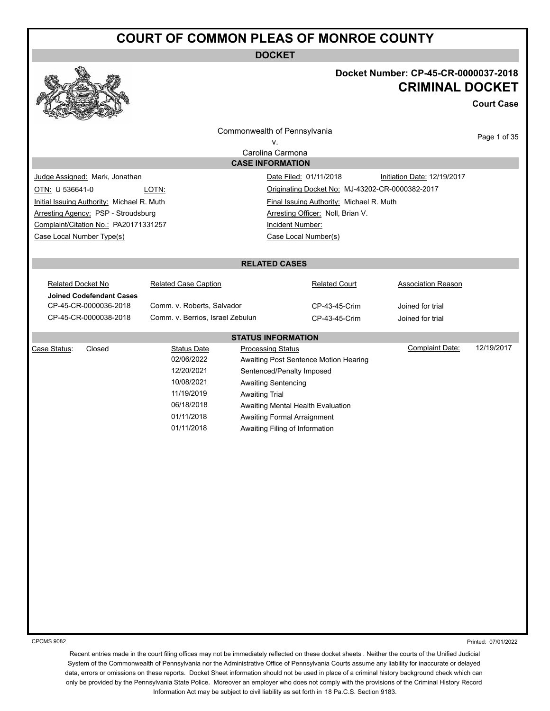**DOCKET**



#### **Docket Number: CP-45-CR-0000037-2018 CRIMINAL DOCKET**

**Court Case**

|                                                     |                                  | Commonwealth of Pennsylvania             |                                                 | Page 1 of 35 |
|-----------------------------------------------------|----------------------------------|------------------------------------------|-------------------------------------------------|--------------|
| ٧.                                                  |                                  |                                          |                                                 |              |
|                                                     |                                  | Carolina Carmona                         |                                                 |              |
|                                                     |                                  | <b>CASE INFORMATION</b>                  |                                                 |              |
| Judge Assigned: Mark, Jonathan                      |                                  | Date Filed: 01/11/2018                   | Initiation Date: 12/19/2017                     |              |
| OTN: U 536641-0                                     | LOTN:                            |                                          | Originating Docket No: MJ-43202-CR-0000382-2017 |              |
| Initial Issuing Authority: Michael R. Muth          |                                  | Final Issuing Authority: Michael R. Muth |                                                 |              |
| Arresting Agency: PSP - Stroudsburg                 |                                  | Arresting Officer: Noll, Brian V.        |                                                 |              |
| Complaint/Citation No.: PA20171331257               |                                  | Incident Number:                         |                                                 |              |
| Case Local Number Type(s)                           |                                  | Case Local Number(s)                     |                                                 |              |
|                                                     |                                  |                                          |                                                 |              |
|                                                     |                                  | <b>RELATED CASES</b>                     |                                                 |              |
| <b>Related Docket No</b>                            | <b>Related Case Caption</b>      | <b>Related Court</b>                     | <b>Association Reason</b>                       |              |
| <b>Joined Codefendant Cases</b>                     |                                  |                                          |                                                 |              |
| CP-45-CR-0000036-2018<br>Comm. v. Roberts, Salvador |                                  | CP-43-45-Crim                            | Joined for trial                                |              |
| CP-45-CR-0000038-2018                               | Comm. v. Berrios, Israel Zebulun | CP-43-45-Crim                            | Joined for trial                                |              |
|                                                     |                                  | <b>STATUS INFORMATION</b>                |                                                 |              |
| Case Status:<br>Closed                              | <b>Status Date</b>               | <b>Processing Status</b>                 | <b>Complaint Date:</b>                          | 12/19/2017   |
|                                                     | 02/06/2022                       | Awaiting Post Sentence Motion Hearing    |                                                 |              |
|                                                     | 12/20/2021                       | Sentenced/Penalty Imposed                |                                                 |              |
|                                                     | 10/08/2021                       | <b>Awaiting Sentencing</b>               |                                                 |              |
|                                                     | 11/19/2019                       | <b>Awaiting Trial</b>                    |                                                 |              |
|                                                     | 06/18/2018                       | Awaiting Mental Health Evaluation        |                                                 |              |
|                                                     | 01/11/2018                       | Awaiting Formal Arraignment              |                                                 |              |
|                                                     | 01/11/2018                       | Awaiting Filing of Information           |                                                 |              |
|                                                     |                                  |                                          |                                                 |              |
|                                                     |                                  |                                          |                                                 |              |
|                                                     |                                  |                                          |                                                 |              |
|                                                     |                                  |                                          |                                                 |              |
|                                                     |                                  |                                          |                                                 |              |
|                                                     |                                  |                                          |                                                 |              |
|                                                     |                                  |                                          |                                                 |              |
|                                                     |                                  |                                          |                                                 |              |
|                                                     |                                  |                                          |                                                 |              |
|                                                     |                                  |                                          |                                                 |              |
|                                                     |                                  |                                          |                                                 |              |
|                                                     |                                  |                                          |                                                 |              |
|                                                     |                                  |                                          |                                                 |              |
|                                                     |                                  |                                          |                                                 |              |

CPCMS 9082

Printed: 07/01/2022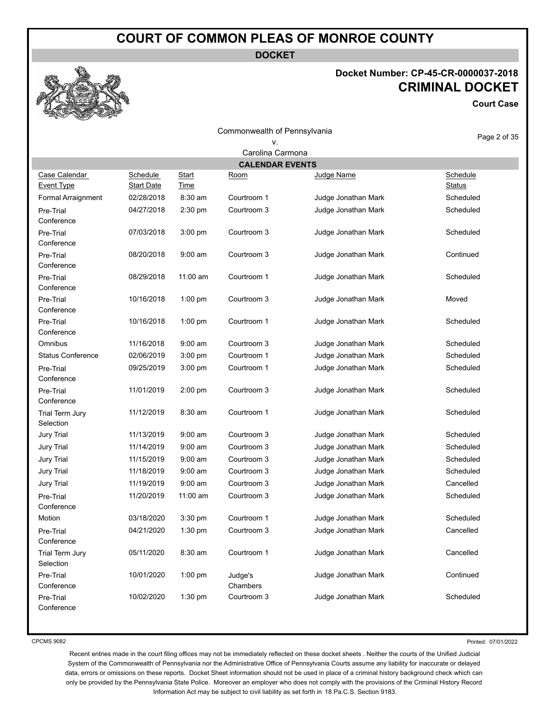**DOCKET**

#### **Docket Number: CP-45-CR-0000037-2018 CRIMINAL DOCKET**

**Court Case**

|                                    |                               |                      | Commonwealth of Pennsylvania |                     | Page 2 of 35              |  |
|------------------------------------|-------------------------------|----------------------|------------------------------|---------------------|---------------------------|--|
|                                    |                               |                      | ٧.                           |                     |                           |  |
| Carolina Carmona                   |                               |                      |                              |                     |                           |  |
|                                    |                               |                      | <b>CALENDAR EVENTS</b>       |                     |                           |  |
| Case Calendar<br><b>Event Type</b> | Schedule<br><b>Start Date</b> | <b>Start</b><br>Time | <u>Room</u>                  | Judge Name          | Schedule<br><b>Status</b> |  |
| Formal Arraignment                 | 02/28/2018                    | $8:30$ am            | Courtroom 1                  | Judge Jonathan Mark | Scheduled                 |  |
| Pre-Trial<br>Conference            | 04/27/2018                    | 2:30 pm              | Courtroom 3                  | Judge Jonathan Mark | Scheduled                 |  |
| Pre-Trial<br>Conference            | 07/03/2018                    | 3:00 pm              | Courtroom 3                  | Judge Jonathan Mark | Scheduled                 |  |
| Pre-Trial<br>Conference            | 08/20/2018                    | $9:00$ am            | Courtroom 3                  | Judge Jonathan Mark | Continued                 |  |
| Pre-Trial<br>Conference            | 08/29/2018                    | 11:00 am             | Courtroom 1                  | Judge Jonathan Mark | Scheduled                 |  |
| Pre-Trial<br>Conference            | 10/16/2018                    | $1:00$ pm            | Courtroom 3                  | Judge Jonathan Mark | Moved                     |  |
| Pre-Trial<br>Conference            | 10/16/2018                    | $1:00$ pm            | Courtroom 1                  | Judge Jonathan Mark | Scheduled                 |  |
| Omnibus                            | 11/16/2018                    | $9:00$ am            | Courtroom 3                  | Judge Jonathan Mark | Scheduled                 |  |
| <b>Status Conference</b>           | 02/06/2019                    | 3:00 pm              | Courtroom 1                  | Judge Jonathan Mark | Scheduled                 |  |
| Pre-Trial<br>Conference            | 09/25/2019                    | 3:00 pm              | Courtroom 1                  | Judge Jonathan Mark | Scheduled                 |  |
| Pre-Trial<br>Conference            | 11/01/2019                    | 2:00 pm              | Courtroom 3                  | Judge Jonathan Mark | Scheduled                 |  |
| Trial Term Jury<br>Selection       | 11/12/2019                    | 8:30 am              | Courtroom 1                  | Judge Jonathan Mark | Scheduled                 |  |
| Jury Trial                         | 11/13/2019                    | $9:00$ am            | Courtroom 3                  | Judge Jonathan Mark | Scheduled                 |  |
| Jury Trial                         | 11/14/2019                    | $9:00$ am            | Courtroom 3                  | Judge Jonathan Mark | Scheduled                 |  |
| Jury Trial                         | 11/15/2019                    | $9:00$ am            | Courtroom 3                  | Judge Jonathan Mark | Scheduled                 |  |
| Jury Trial                         | 11/18/2019                    | $9:00$ am            | Courtroom 3                  | Judge Jonathan Mark | Scheduled                 |  |
| Jury Trial                         | 11/19/2019                    | $9:00$ am            | Courtroom 3                  | Judge Jonathan Mark | Cancelled                 |  |
| Pre-Trial<br>Conference            | 11/20/2019                    | 11:00 am             | Courtroom 3                  | Judge Jonathan Mark | Scheduled                 |  |
| Motion                             | 03/18/2020                    | 3:30 pm              | Courtroom 1                  | Judge Jonathan Mark | Scheduled                 |  |
| Pre-Trial<br>Conference            | 04/21/2020                    | 1:30 pm              | Courtroom 3                  | Judge Jonathan Mark | Cancelled                 |  |
| Trial Term Jury<br>Selection       | 05/11/2020                    | 8:30 am              | Courtroom 1                  | Judge Jonathan Mark | Cancelled                 |  |
| Pre-Trial<br>Conference            | 10/01/2020                    | $1:00$ pm            | Judge's<br>Chambers          | Judge Jonathan Mark | Continued                 |  |
| Pre-Trial<br>Conference            | 10/02/2020                    | 1:30 pm              | Courtroom 3                  | Judge Jonathan Mark | Scheduled                 |  |

CPCMS 9082

Printed: 07/01/2022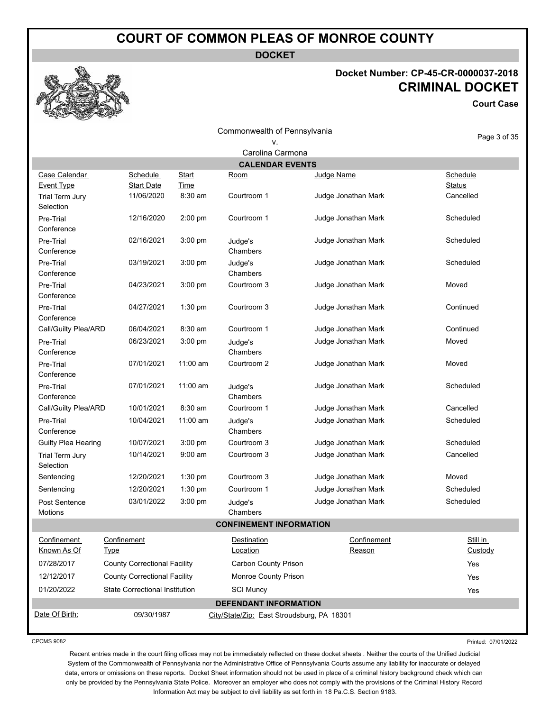**DOCKET**

#### **Docket Number: CP-45-CR-0000037-2018 CRIMINAL DOCKET**

**Court Case**

Commonwealth of Pennsylvania v.

Page 3 of 35

|                                    |                                       |               | Carolina Carmona                           |                       |                           |
|------------------------------------|---------------------------------------|---------------|--------------------------------------------|-----------------------|---------------------------|
|                                    |                                       |               | <b>CALENDAR EVENTS</b>                     |                       |                           |
| Case Calendar<br><b>Event Type</b> | <b>Schedule</b><br><b>Start Date</b>  | Start<br>Time | <u>Room</u>                                | Judge Name            | Schedule<br><b>Status</b> |
| Trial Term Jury<br>Selection       | 11/06/2020                            | 8:30 am       | Courtroom 1                                | Judge Jonathan Mark   | Cancelled                 |
| Pre-Trial<br>Conference            | 12/16/2020                            | 2:00 pm       | Courtroom 1                                | Judge Jonathan Mark   | Scheduled                 |
| Pre-Trial<br>Conference            | 02/16/2021                            | 3:00 pm       | Judge's<br>Chambers                        | Judge Jonathan Mark   | Scheduled                 |
| Pre-Trial<br>Conference            | 03/19/2021                            | 3:00 pm       | Judge's<br>Chambers                        | Judge Jonathan Mark   | Scheduled                 |
| Pre-Trial<br>Conference            | 04/23/2021                            | $3:00$ pm     | Courtroom 3                                | Judge Jonathan Mark   | Moved                     |
| Pre-Trial<br>Conference            | 04/27/2021                            | 1:30 pm       | Courtroom 3                                | Judge Jonathan Mark   | Continued                 |
| Call/Guilty Plea/ARD               | 06/04/2021                            | 8:30 am       | Courtroom 1                                | Judge Jonathan Mark   | Continued                 |
| Pre-Trial<br>Conference            | 06/23/2021                            | $3:00$ pm     | Judge's<br>Chambers                        | Judge Jonathan Mark   | Moved                     |
| Pre-Trial<br>Conference            | 07/01/2021                            | 11:00 am      | Courtroom 2                                | Judge Jonathan Mark   | Moved                     |
| Pre-Trial<br>Conference            | 07/01/2021                            | 11:00 am      | Judge's<br>Chambers                        | Judge Jonathan Mark   | Scheduled                 |
| Call/Guilty Plea/ARD               | 10/01/2021                            | 8:30 am       | Courtroom 1                                | Judge Jonathan Mark   | Cancelled                 |
| Pre-Trial<br>Conference            | 10/04/2021                            | 11:00 am      | Judge's<br>Chambers                        | Judge Jonathan Mark   | Scheduled                 |
| Guilty Plea Hearing                | 10/07/2021                            | 3:00 pm       | Courtroom 3                                | Judge Jonathan Mark   | Scheduled                 |
| Trial Term Jury<br>Selection       | 10/14/2021                            | $9:00$ am     | Courtroom 3                                | Judge Jonathan Mark   | Cancelled                 |
| Sentencing                         | 12/20/2021                            | 1:30 pm       | Courtroom 3                                | Judge Jonathan Mark   | Moved                     |
| Sentencing                         | 12/20/2021                            | 1:30 pm       | Courtroom 1                                | Judge Jonathan Mark   | Scheduled                 |
| Post Sentence<br>Motions           | 03/01/2022                            | 3:00 pm       | Judge's<br>Chambers                        | Judge Jonathan Mark   | Scheduled                 |
|                                    |                                       |               | <b>CONFINEMENT INFORMATION</b>             |                       |                           |
| Confinement<br>Known As Of         | Confinement<br><b>Type</b>            |               | Destination<br>Location                    | Confinement<br>Reason | Still in<br>Custody       |
| 07/28/2017                         | <b>County Correctional Facility</b>   |               | Carbon County Prison                       |                       | Yes                       |
| 12/12/2017                         | <b>County Correctional Facility</b>   |               | Monroe County Prison                       |                       | Yes                       |
| 01/20/2022                         | <b>State Correctional Institution</b> |               | <b>SCI Muncy</b>                           |                       | Yes                       |
|                                    |                                       |               | <b>DEFENDANT INFORMATION</b>               |                       |                           |
| Date Of Birth:                     | 09/30/1987                            |               | City/State/Zip: East Stroudsburg, PA 18301 |                       |                           |

CPCMS 9082

Printed: 07/01/2022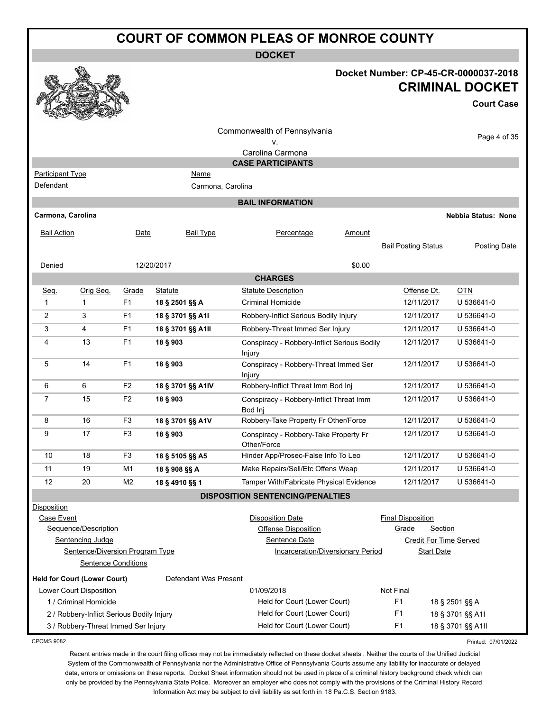**DOCKET**

|                         |                                           |                |                                  | <b>DOCKET</b>                                         |                                                     |                            |
|-------------------------|-------------------------------------------|----------------|----------------------------------|-------------------------------------------------------|-----------------------------------------------------|----------------------------|
|                         |                                           |                |                                  |                                                       | Docket Number: CP-45-CR-0000037-2018                | <b>CRIMINAL DOCKET</b>     |
|                         |                                           |                |                                  |                                                       |                                                     | <b>Court Case</b>          |
|                         |                                           |                |                                  | Commonwealth of Pennsylvania                          |                                                     | Page 4 of 35               |
|                         |                                           |                |                                  | ν.<br>Carolina Carmona                                |                                                     |                            |
|                         |                                           |                |                                  | <b>CASE PARTICIPANTS</b>                              |                                                     |                            |
| <b>Participant Type</b> |                                           |                | <u>Name</u>                      |                                                       |                                                     |                            |
| Defendant               |                                           |                | Carmona, Carolina                |                                                       |                                                     |                            |
|                         |                                           |                |                                  | <b>BAIL INFORMATION</b>                               |                                                     |                            |
| Carmona, Carolina       |                                           |                |                                  |                                                       |                                                     | <b>Nebbia Status: None</b> |
| <b>Bail Action</b>      |                                           | Date           | <b>Bail Type</b>                 | Percentage<br><b>Amount</b>                           |                                                     |                            |
|                         |                                           |                |                                  |                                                       | <b>Bail Posting Status</b>                          | Posting Date               |
|                         |                                           |                |                                  |                                                       |                                                     |                            |
| Denied                  |                                           |                | 12/20/2017                       | \$0.00                                                |                                                     |                            |
|                         |                                           |                |                                  | <b>CHARGES</b><br><b>Statute Description</b>          |                                                     |                            |
| Seq.<br>1               | Orig Seq.<br>$\mathbf{1}$                 | Grade<br>F1    | <b>Statute</b><br>18 § 2501 §§ A | <b>Criminal Homicide</b>                              | Offense Dt.<br>12/11/2017                           | <b>OTN</b><br>U 536641-0   |
| $\overline{2}$          | 3                                         | F <sub>1</sub> | 18 § 3701 §§ A1I                 | Robbery-Inflict Serious Bodily Injury                 | 12/11/2017                                          | U 536641-0                 |
| 3                       | 4                                         | F <sub>1</sub> | 18 § 3701 §§ A1II                | Robbery-Threat Immed Ser Injury                       | 12/11/2017                                          | U 536641-0                 |
| 4                       | 13                                        | F1             |                                  |                                                       | 12/11/2017                                          | U 536641-0                 |
|                         |                                           |                | 18 § 903                         | Conspiracy - Robbery-Inflict Serious Bodily<br>Injury |                                                     |                            |
| 5                       | 14                                        | F <sub>1</sub> | 18 § 903                         | Conspiracy - Robbery-Threat Immed Ser<br>Injury       | 12/11/2017                                          | U 536641-0                 |
| 6                       | 6                                         | F <sub>2</sub> | 18 § 3701 §§ A1IV                | Robbery-Inflict Threat Imm Bod Inj                    | 12/11/2017                                          | U 536641-0                 |
| 7                       | 15                                        | F <sub>2</sub> | 18 § 903                         | Conspiracy - Robbery-Inflict Threat Imm<br>Bod Inj    | 12/11/2017                                          | U 536641-0                 |
| 8                       | 16                                        | F <sub>3</sub> | 18 § 3701 §§ A1V                 | Robbery-Take Property Fr Other/Force                  | 12/11/2017                                          | U 536641-0                 |
| 9                       | 17                                        | F <sub>3</sub> | 18 § 903                         | Conspiracy - Robbery-Take Property Fr<br>Other/Force  | 12/11/2017                                          | U 536641-0                 |
| 10                      | 18                                        | F3             | 18 § 5105 §§ A5                  | Hinder App/Prosec-False Info To Leo                   | 12/11/2017                                          | U 536641-0                 |
| 11                      | 19                                        | M1             | 18 § 908 §§ A                    | Make Repairs/Sell/Etc Offens Weap                     | 12/11/2017                                          | U 536641-0                 |
| 12                      | 20                                        | M <sub>2</sub> | 18 § 4910 §§ 1                   | Tamper With/Fabricate Physical Evidence               | 12/11/2017                                          | U 536641-0                 |
|                         |                                           |                |                                  | <b>DISPOSITION SENTENCING/PENALTIES</b>               |                                                     |                            |
| <b>Disposition</b>      |                                           |                |                                  |                                                       |                                                     |                            |
| Case Event              | Sequence/Description                      |                |                                  | <b>Disposition Date</b><br><b>Offense Disposition</b> | <b>Final Disposition</b><br>Grade<br><b>Section</b> |                            |
|                         | Sentencing Judge                          |                |                                  | Sentence Date                                         | <b>Credit For Time Served</b>                       |                            |
|                         | Sentence/Diversion Program Type           |                |                                  | <b>Incarceration/Diversionary Period</b>              | <b>Start Date</b>                                   |                            |
|                         | <b>Sentence Conditions</b>                |                |                                  |                                                       |                                                     |                            |
|                         | <b>Held for Court (Lower Court)</b>       |                | Defendant Was Present            |                                                       |                                                     |                            |
|                         | Lower Court Disposition                   |                |                                  | 01/09/2018                                            | Not Final                                           |                            |
|                         | 1 / Criminal Homicide                     |                |                                  | Held for Court (Lower Court)                          | F <sub>1</sub>                                      | 18 § 2501 §§ A             |
|                         | 2 / Robbery-Inflict Serious Bodily Injury |                |                                  | Held for Court (Lower Court)                          | F <sub>1</sub>                                      | 18 § 3701 §§ A1I           |
|                         | 3 / Robbery-Threat Immed Ser Injury       |                |                                  | Held for Court (Lower Court)                          | F <sub>1</sub>                                      | 18 § 3701 §§ A1II          |
| 0.00110.0000            |                                           |                |                                  |                                                       |                                                     |                            |

CPCMS 9082

Printed: 07/01/2022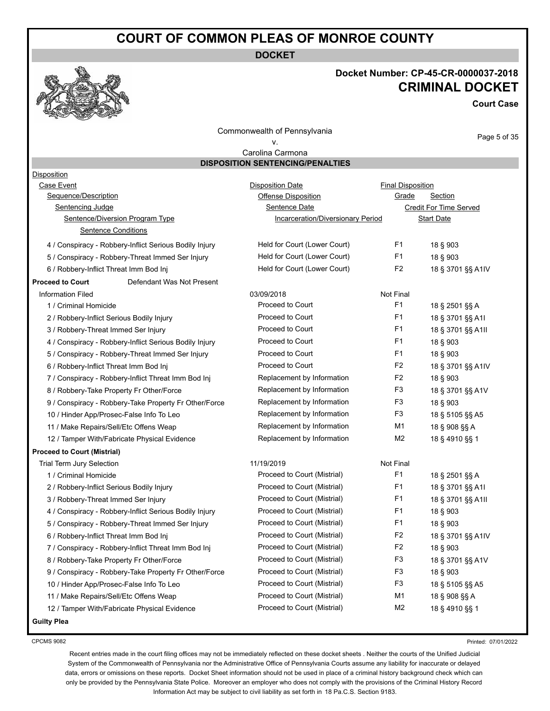**DOCKET**



#### **Docket Number: CP-45-CR-0000037-2018 CRIMINAL DOCKET**

**Court Case**

Commonwealth of Pennsylvania v.

Page 5 of 35

#### Carolina Carmona **DISPOSITION SENTENCING/PENALTIES**

| <b>Disposition</b>                                     |                                   |                          |                        |
|--------------------------------------------------------|-----------------------------------|--------------------------|------------------------|
| Case Event                                             | <b>Disposition Date</b>           | <b>Final Disposition</b> |                        |
| Sequence/Description                                   | <b>Offense Disposition</b>        | Grade                    | Section                |
| Sentencing Judge                                       | Sentence Date                     |                          | Credit For Time Served |
| Sentence/Diversion Program Type                        | Incarceration/Diversionary Period |                          | <b>Start Date</b>      |
| <b>Sentence Conditions</b>                             |                                   |                          |                        |
| 4 / Conspiracy - Robbery-Inflict Serious Bodily Injury | Held for Court (Lower Court)      | F <sub>1</sub>           | 18 § 903               |
| 5 / Conspiracy - Robbery-Threat Immed Ser Injury       | Held for Court (Lower Court)      | F <sub>1</sub>           | 18 § 903               |
| 6 / Robbery-Inflict Threat Imm Bod Inj                 | Held for Court (Lower Court)      | F <sub>2</sub>           | 18 § 3701 §§ A1IV      |
| <b>Proceed to Court</b><br>Defendant Was Not Present   |                                   |                          |                        |
| <b>Information Filed</b>                               | 03/09/2018                        | Not Final                |                        |
| 1 / Criminal Homicide                                  | Proceed to Court                  | F <sub>1</sub>           | 18 § 2501 §§ A         |
| 2 / Robbery-Inflict Serious Bodily Injury              | Proceed to Court                  | F <sub>1</sub>           | 18 § 3701 §§ A1I       |
| 3 / Robbery-Threat Immed Ser Injury                    | Proceed to Court                  | F <sub>1</sub>           | 18 § 3701 §§ A1II      |
| 4 / Conspiracy - Robbery-Inflict Serious Bodily Injury | Proceed to Court                  | F <sub>1</sub>           | 18 § 903               |
| 5 / Conspiracy - Robbery-Threat Immed Ser Injury       | Proceed to Court                  | F <sub>1</sub>           | 18 § 903               |
| 6 / Robbery-Inflict Threat Imm Bod Inj                 | Proceed to Court                  | F <sub>2</sub>           | 18 § 3701 §§ A1IV      |
| 7 / Conspiracy - Robbery-Inflict Threat Imm Bod Inj    | Replacement by Information        | F <sub>2</sub>           | 18 § 903               |
| 8 / Robbery-Take Property Fr Other/Force               | Replacement by Information        | F <sub>3</sub>           | 18 § 3701 §§ A1V       |
| 9 / Conspiracy - Robbery-Take Property Fr Other/Force  | Replacement by Information        | F <sub>3</sub>           | 18 § 903               |
| 10 / Hinder App/Prosec-False Info To Leo               | Replacement by Information        | F <sub>3</sub>           | 18 § 5105 §§ A5        |
| 11 / Make Repairs/Sell/Etc Offens Weap                 | Replacement by Information        | M1                       | 18 § 908 §§ A          |
| 12 / Tamper With/Fabricate Physical Evidence           | Replacement by Information        | M <sub>2</sub>           | 18 § 4910 §§ 1         |
| <b>Proceed to Court (Mistrial)</b>                     |                                   |                          |                        |
| <b>Trial Term Jury Selection</b>                       | 11/19/2019                        | Not Final                |                        |
| 1 / Criminal Homicide                                  | Proceed to Court (Mistrial)       | F <sub>1</sub>           | 18 § 2501 §§ A         |
| 2 / Robbery-Inflict Serious Bodily Injury              | Proceed to Court (Mistrial)       | F <sub>1</sub>           | 18 § 3701 §§ A1I       |
| 3 / Robbery-Threat Immed Ser Injury                    | Proceed to Court (Mistrial)       | F <sub>1</sub>           | 18 § 3701 §§ A1II      |
| 4 / Conspiracy - Robbery-Inflict Serious Bodily Injury | Proceed to Court (Mistrial)       | F <sub>1</sub>           | 18 § 903               |
| 5 / Conspiracy - Robbery-Threat Immed Ser Injury       | Proceed to Court (Mistrial)       | F <sub>1</sub>           | 18 § 903               |
| 6 / Robbery-Inflict Threat Imm Bod Inj                 | Proceed to Court (Mistrial)       | F <sub>2</sub>           | 18 § 3701 §§ A1IV      |
| 7 / Conspiracy - Robbery-Inflict Threat Imm Bod Inj    | Proceed to Court (Mistrial)       | F <sub>2</sub>           | 18 § 903               |
| 8 / Robbery-Take Property Fr Other/Force               | Proceed to Court (Mistrial)       | F <sub>3</sub>           | 18 § 3701 §§ A1V       |
| 9 / Conspiracy - Robbery-Take Property Fr Other/Force  | Proceed to Court (Mistrial)       | F <sub>3</sub>           | 18 § 903               |
| 10 / Hinder App/Prosec-False Info To Leo               | Proceed to Court (Mistrial)       | F <sub>3</sub>           | 18 § 5105 §§ A5        |
| 11 / Make Repairs/Sell/Etc Offens Weap                 | Proceed to Court (Mistrial)       | M1                       | 18 § 908 §§ A          |
| 12 / Tamper With/Fabricate Physical Evidence           | Proceed to Court (Mistrial)       | M <sub>2</sub>           | 18 § 4910 §§ 1         |
| <b>Guilty Plea</b>                                     |                                   |                          |                        |

CPCMS 9082

Printed: 07/01/2022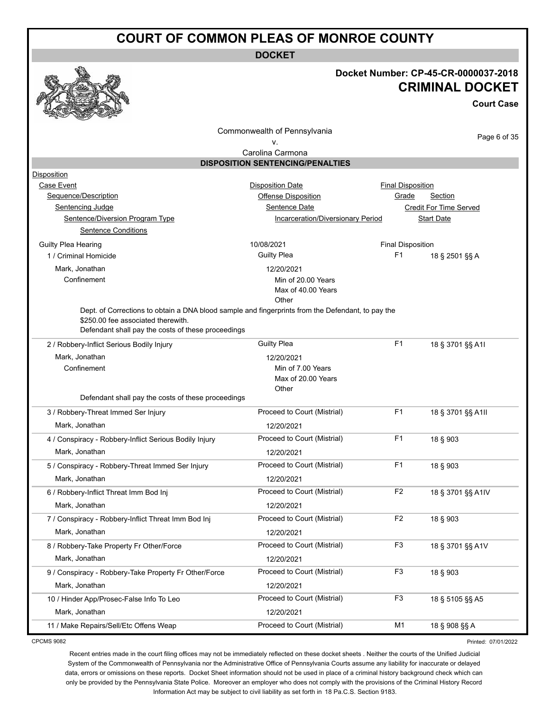**DOCKET**

#### **Docket Number: CP-45-CR-0000037-2018 CRIMINAL DOCKET**

**Court Case**

Commonwealth of Pennsylvania

Page 6 of 35

#### v. Carolina Carmona

| Disposition                                                                                       |                                   |                          |                        |
|---------------------------------------------------------------------------------------------------|-----------------------------------|--------------------------|------------------------|
| Case Event                                                                                        | <b>Disposition Date</b>           | <b>Final Disposition</b> |                        |
| Sequence/Description                                                                              | Offense Disposition               | Grade                    | <b>Section</b>         |
| Sentencing Judge                                                                                  | Sentence Date                     |                          | Credit For Time Served |
| Sentence/Diversion Program Type                                                                   | Incarceration/Diversionary Period |                          | <b>Start Date</b>      |
| <b>Sentence Conditions</b>                                                                        |                                   |                          |                        |
| Guilty Plea Hearing                                                                               | 10/08/2021                        | <b>Final Disposition</b> |                        |
| 1 / Criminal Homicide                                                                             | <b>Guilty Plea</b>                | F1                       | 18 § 2501 §§ A         |
| Mark, Jonathan                                                                                    | 12/20/2021                        |                          |                        |
| Confinement                                                                                       | Min of 20.00 Years                |                          |                        |
|                                                                                                   | Max of 40.00 Years                |                          |                        |
| Dept. of Corrections to obtain a DNA blood sample and fingerprints from the Defendant, to pay the | Other                             |                          |                        |
| \$250.00 fee associated therewith.                                                                |                                   |                          |                        |
| Defendant shall pay the costs of these proceedings                                                |                                   |                          |                        |
| 2 / Robbery-Inflict Serious Bodily Injury                                                         | <b>Guilty Plea</b>                | F <sub>1</sub>           | 18 § 3701 §§ A1I       |
| Mark, Jonathan                                                                                    | 12/20/2021                        |                          |                        |
| Confinement                                                                                       | Min of 7.00 Years                 |                          |                        |
|                                                                                                   | Max of 20.00 Years                |                          |                        |
|                                                                                                   | Other                             |                          |                        |
| Defendant shall pay the costs of these proceedings                                                |                                   |                          |                        |
| 3 / Robbery-Threat Immed Ser Injury                                                               | Proceed to Court (Mistrial)       | F <sub>1</sub>           | 18 § 3701 §§ A1II      |
| Mark, Jonathan                                                                                    | 12/20/2021                        |                          |                        |
| 4 / Conspiracy - Robbery-Inflict Serious Bodily Injury                                            | Proceed to Court (Mistrial)       | F <sub>1</sub>           | 18 § 903               |
| Mark, Jonathan                                                                                    | 12/20/2021                        |                          |                        |
| 5 / Conspiracy - Robbery-Threat Immed Ser Injury                                                  | Proceed to Court (Mistrial)       | F <sub>1</sub>           | 18 § 903               |
| Mark, Jonathan                                                                                    | 12/20/2021                        |                          |                        |
| 6 / Robbery-Inflict Threat Imm Bod Inj                                                            | Proceed to Court (Mistrial)       | F <sub>2</sub>           | 18 § 3701 §§ A1IV      |
| Mark, Jonathan                                                                                    | 12/20/2021                        |                          |                        |
| 7 / Conspiracy - Robbery-Inflict Threat Imm Bod Inj                                               | Proceed to Court (Mistrial)       | F <sub>2</sub>           | 18 § 903               |
| Mark, Jonathan                                                                                    | 12/20/2021                        |                          |                        |
| 8 / Robbery-Take Property Fr Other/Force                                                          | Proceed to Court (Mistrial)       | F <sub>3</sub>           | 18 § 3701 §§ A1V       |
| Mark, Jonathan                                                                                    | 12/20/2021                        |                          |                        |
| 9 / Conspiracy - Robbery-Take Property Fr Other/Force                                             | Proceed to Court (Mistrial)       | F <sub>3</sub>           | 18 § 903               |
| Mark, Jonathan                                                                                    | 12/20/2021                        |                          |                        |
| 10 / Hinder App/Prosec-False Info To Leo                                                          | Proceed to Court (Mistrial)       | F <sub>3</sub>           | 18 § 5105 §§ A5        |
| Mark, Jonathan                                                                                    | 12/20/2021                        |                          |                        |
| 11 / Make Repairs/Sell/Etc Offens Weap                                                            | Proceed to Court (Mistrial)       | M1                       | 18 § 908 §§ A          |

CPCMS 9082

Printed: 07/01/2022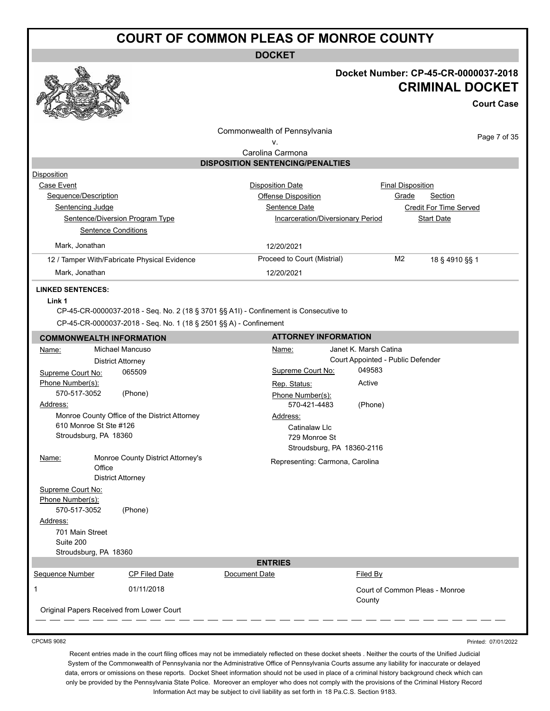**DOCKET**



#### **Docket Number: CP-45-CR-0000037-2018 CRIMINAL DOCKET**

**Court Case**

Printed: 07/01/2022

| Commonwealth of Pennsylvania<br>v.        |                                                                                                                                                            |                                                             |                                   |                                          | Page 7 of 35           |
|-------------------------------------------|------------------------------------------------------------------------------------------------------------------------------------------------------------|-------------------------------------------------------------|-----------------------------------|------------------------------------------|------------------------|
|                                           |                                                                                                                                                            | Carolina Carmona<br><b>DISPOSITION SENTENCING/PENALTIES</b> |                                   |                                          |                        |
| Disposition                               |                                                                                                                                                            |                                                             |                                   |                                          |                        |
| Case Event                                |                                                                                                                                                            | <b>Disposition Date</b>                                     |                                   | <b>Final Disposition</b>                 |                        |
| Sequence/Description                      |                                                                                                                                                            | <b>Offense Disposition</b>                                  |                                   | Grade                                    | Section                |
| Sentencing Judge                          |                                                                                                                                                            | Sentence Date                                               |                                   |                                          | Credit For Time Served |
|                                           | Sentence/Diversion Program Type                                                                                                                            |                                                             | Incarceration/Diversionary Period |                                          | <b>Start Date</b>      |
| <b>Sentence Conditions</b>                |                                                                                                                                                            |                                                             |                                   |                                          |                        |
| Mark, Jonathan                            |                                                                                                                                                            | 12/20/2021                                                  |                                   |                                          |                        |
|                                           | 12 / Tamper With/Fabricate Physical Evidence                                                                                                               | Proceed to Court (Mistrial)                                 |                                   | M <sub>2</sub>                           | 18 § 4910 §§ 1         |
| Mark, Jonathan                            |                                                                                                                                                            | 12/20/2021                                                  |                                   |                                          |                        |
| <b>LINKED SENTENCES:</b><br>Link 1        | CP-45-CR-0000037-2018 - Seq. No. 2 (18 § 3701 §§ A1I) - Confinement is Consecutive to<br>CP-45-CR-0000037-2018 - Seq. No. 1 (18 § 2501 §§ A) - Confinement |                                                             |                                   |                                          |                        |
| <b>COMMONWEALTH INFORMATION</b>           |                                                                                                                                                            |                                                             | <b>ATTORNEY INFORMATION</b>       |                                          |                        |
| Name:                                     | Michael Mancuso                                                                                                                                            | Name:                                                       |                                   |                                          |                        |
|                                           | <b>District Attorney</b>                                                                                                                                   | Janet K. Marsh Catina<br>Court Appointed - Public Defender  |                                   |                                          |                        |
| Supreme Court No:                         | 065509                                                                                                                                                     |                                                             | Supreme Court No:                 | 049583                                   |                        |
| Phone Number(s):                          |                                                                                                                                                            | Rep. Status:                                                |                                   | Active                                   |                        |
| 570-517-3052                              | (Phone)                                                                                                                                                    | Phone Number(s):                                            |                                   |                                          |                        |
| Address:                                  |                                                                                                                                                            |                                                             | 570-421-4483                      | (Phone)                                  |                        |
|                                           | Monroe County Office of the District Attorney                                                                                                              | Address:                                                    |                                   |                                          |                        |
| 610 Monroe St Ste #126                    |                                                                                                                                                            |                                                             | Catinalaw Llc                     |                                          |                        |
| Stroudsburg, PA 18360                     |                                                                                                                                                            |                                                             | 729 Monroe St                     |                                          |                        |
|                                           |                                                                                                                                                            |                                                             | Stroudsburg, PA 18360-2116        |                                          |                        |
| <u>Name:</u>                              | Monroe County District Attorney's                                                                                                                          |                                                             | Representing: Carmona, Carolina   |                                          |                        |
| Office                                    |                                                                                                                                                            |                                                             |                                   |                                          |                        |
|                                           | <b>District Attorney</b>                                                                                                                                   |                                                             |                                   |                                          |                        |
| Supreme Court No:                         |                                                                                                                                                            |                                                             |                                   |                                          |                        |
| Phone Number(s):                          |                                                                                                                                                            |                                                             |                                   |                                          |                        |
| 570-517-3052                              | (Phone)                                                                                                                                                    |                                                             |                                   |                                          |                        |
| Address:                                  |                                                                                                                                                            |                                                             |                                   |                                          |                        |
| 701 Main Street                           |                                                                                                                                                            |                                                             |                                   |                                          |                        |
| Suite 200                                 |                                                                                                                                                            |                                                             |                                   |                                          |                        |
| Stroudsburg, PA 18360                     |                                                                                                                                                            | <b>ENTRIES</b>                                              |                                   |                                          |                        |
| Sequence Number                           | CP Filed Date                                                                                                                                              | Document Date                                               |                                   | Filed By                                 |                        |
|                                           |                                                                                                                                                            |                                                             |                                   |                                          |                        |
| 1                                         | 01/11/2018                                                                                                                                                 |                                                             |                                   | Court of Common Pleas - Monroe<br>County |                        |
| Original Papers Received from Lower Court |                                                                                                                                                            |                                                             |                                   |                                          |                        |
|                                           |                                                                                                                                                            |                                                             |                                   |                                          |                        |

CPCMS 9082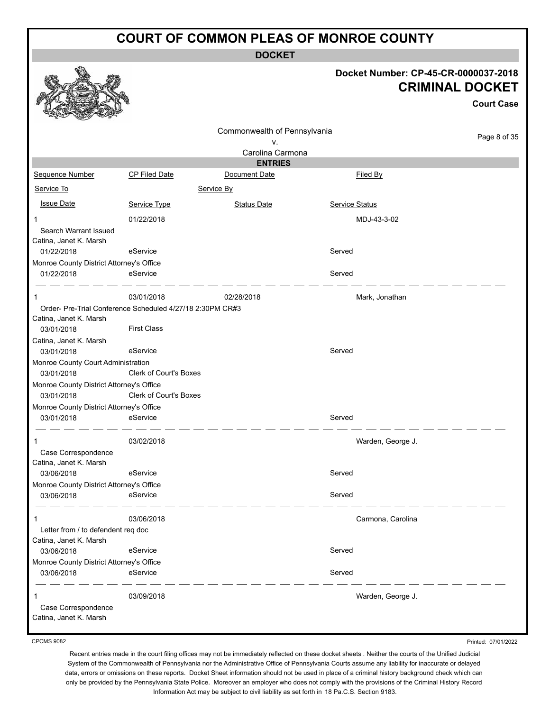**DOCKET**

#### **Docket Number: CP-45-CR-0000037-2018 CRIMINAL DOCKET**

|                                                        |                                                           |                              |                       | <b>Court Case</b> |
|--------------------------------------------------------|-----------------------------------------------------------|------------------------------|-----------------------|-------------------|
|                                                        |                                                           | Commonwealth of Pennsylvania |                       |                   |
|                                                        |                                                           | ٧.                           |                       | Page 8 of 35      |
|                                                        |                                                           | Carolina Carmona             |                       |                   |
|                                                        |                                                           | <b>ENTRIES</b>               |                       |                   |
| Sequence Number                                        | <b>CP Filed Date</b>                                      | Document Date                | Filed By              |                   |
| Service To                                             |                                                           | Service By                   |                       |                   |
| <b>Issue Date</b>                                      | Service Type                                              | <b>Status Date</b>           | <b>Service Status</b> |                   |
| 1                                                      | 01/22/2018                                                |                              | MDJ-43-3-02           |                   |
| Search Warrant Issued<br>Catina, Janet K. Marsh        |                                                           |                              |                       |                   |
| 01/22/2018                                             | eService                                                  |                              | Served                |                   |
| Monroe County District Attorney's Office               |                                                           |                              |                       |                   |
| 01/22/2018                                             | eService                                                  |                              | Served                |                   |
| 1                                                      | 03/01/2018                                                | 02/28/2018                   | Mark, Jonathan        |                   |
|                                                        | Order- Pre-Trial Conference Scheduled 4/27/18 2:30PM CR#3 |                              |                       |                   |
| Catina, Janet K. Marsh<br>03/01/2018                   | <b>First Class</b>                                        |                              |                       |                   |
| Catina, Janet K. Marsh                                 |                                                           |                              |                       |                   |
| 03/01/2018                                             | eService                                                  |                              | Served                |                   |
| Monroe County Court Administration                     |                                                           |                              |                       |                   |
| 03/01/2018                                             | Clerk of Court's Boxes                                    |                              |                       |                   |
| Monroe County District Attorney's Office               |                                                           |                              |                       |                   |
| 03/01/2018                                             | Clerk of Court's Boxes                                    |                              |                       |                   |
| Monroe County District Attorney's Office               |                                                           |                              |                       |                   |
| 03/01/2018                                             | eService                                                  |                              | Served                |                   |
|                                                        | 03/02/2018                                                |                              | Warden, George J.     |                   |
| Case Correspondence                                    |                                                           |                              |                       |                   |
| Catina, Janet K. Marsh                                 |                                                           |                              |                       |                   |
| 03/06/2018                                             | eService                                                  |                              | Served                |                   |
| Monroe County District Attorney's Office<br>03/06/2018 | eService                                                  |                              | Served                |                   |
|                                                        |                                                           |                              |                       |                   |
| 1                                                      | 03/06/2018                                                |                              | Carmona, Carolina     |                   |
| Letter from / to defendent req doc                     |                                                           |                              |                       |                   |
| Catina, Janet K. Marsh                                 |                                                           |                              |                       |                   |
| 03/06/2018<br>Monroe County District Attorney's Office | eService                                                  |                              | Served                |                   |
| 03/06/2018                                             | eService                                                  |                              | Served                |                   |
|                                                        |                                                           |                              |                       |                   |
| Case Correspondence<br>Catina, Janet K. Marsh          | 03/09/2018                                                |                              | Warden, George J.     |                   |

CPCMS 9082

Printed: 07/01/2022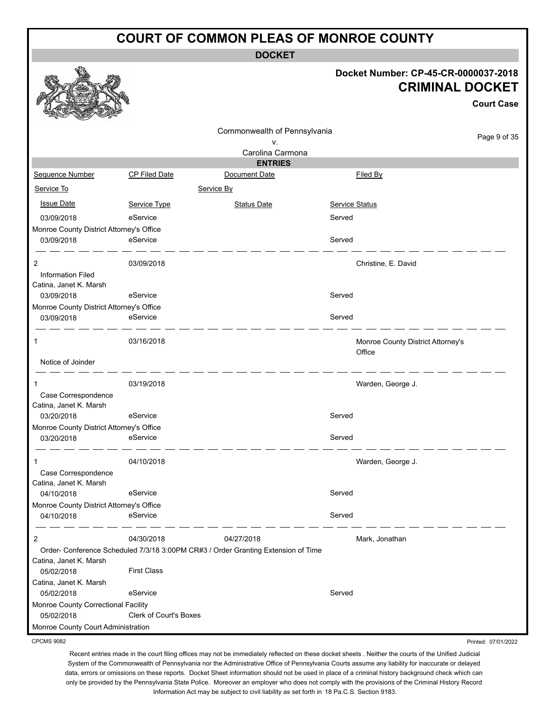**DOCKET**

#### **Docket Number: CP-45-CR-0000037-2018 CRIMINAL DOCKET**

**Court Case**

Printed: 07/01/2022

|                                               |                                                                                   |                              |                       | <b>Court Case</b>                 |
|-----------------------------------------------|-----------------------------------------------------------------------------------|------------------------------|-----------------------|-----------------------------------|
|                                               |                                                                                   | Commonwealth of Pennsylvania |                       |                                   |
|                                               |                                                                                   | ٧.                           |                       | Page 9 of 35                      |
|                                               |                                                                                   | Carolina Carmona             |                       |                                   |
|                                               |                                                                                   | <b>ENTRIES</b>               |                       |                                   |
| Sequence Number                               | CP Filed Date                                                                     | Document Date                | Filed By              |                                   |
| Service To                                    |                                                                                   | Service By                   |                       |                                   |
| <b>Issue Date</b>                             | Service Type                                                                      | <b>Status Date</b>           | <b>Service Status</b> |                                   |
| 03/09/2018                                    | eService                                                                          |                              | Served                |                                   |
| Monroe County District Attorney's Office      |                                                                                   |                              |                       |                                   |
| 03/09/2018                                    | eService                                                                          |                              | Served                |                                   |
| 2                                             | 03/09/2018                                                                        |                              | Christine, E. David   |                                   |
| <b>Information Filed</b>                      |                                                                                   |                              |                       |                                   |
| Catina, Janet K. Marsh                        |                                                                                   |                              |                       |                                   |
| 03/09/2018                                    | eService                                                                          |                              | Served                |                                   |
| Monroe County District Attorney's Office      |                                                                                   |                              |                       |                                   |
| 03/09/2018                                    | eService                                                                          |                              | Served                |                                   |
| 1                                             | 03/16/2018                                                                        |                              | Office                | Monroe County District Attorney's |
| Notice of Joinder                             |                                                                                   |                              |                       |                                   |
|                                               | 03/19/2018                                                                        |                              | Warden, George J.     |                                   |
| Case Correspondence<br>Catina, Janet K. Marsh |                                                                                   |                              |                       |                                   |
| 03/20/2018                                    | eService                                                                          |                              | Served                |                                   |
| Monroe County District Attorney's Office      |                                                                                   |                              |                       |                                   |
| 03/20/2018                                    | eService                                                                          |                              | Served                |                                   |
|                                               | 04/10/2018                                                                        |                              | Warden, George J.     |                                   |
| Case Correspondence                           |                                                                                   |                              |                       |                                   |
| Catina, Janet K. Marsh                        |                                                                                   |                              |                       |                                   |
| 04/10/2018                                    | eService                                                                          |                              | Served                |                                   |
| Monroe County District Attorney's Office      |                                                                                   |                              |                       |                                   |
| 04/10/2018                                    | eService                                                                          |                              | Served                |                                   |
| 2                                             | 04/30/2018                                                                        | 04/27/2018                   | Mark, Jonathan        |                                   |
|                                               | Order- Conference Scheduled 7/3/18 3:00PM CR#3 / Order Granting Extension of Time |                              |                       |                                   |
| Catina, Janet K. Marsh                        |                                                                                   |                              |                       |                                   |
| 05/02/2018                                    | <b>First Class</b>                                                                |                              |                       |                                   |
| Catina, Janet K. Marsh<br>05/02/2018          | eService                                                                          |                              | Served                |                                   |
| Monroe County Correctional Facility           |                                                                                   |                              |                       |                                   |
| 05/02/2018                                    | Clerk of Court's Boxes                                                            |                              |                       |                                   |
| Monroe County Court Administration            |                                                                                   |                              |                       |                                   |

CPCMS 9082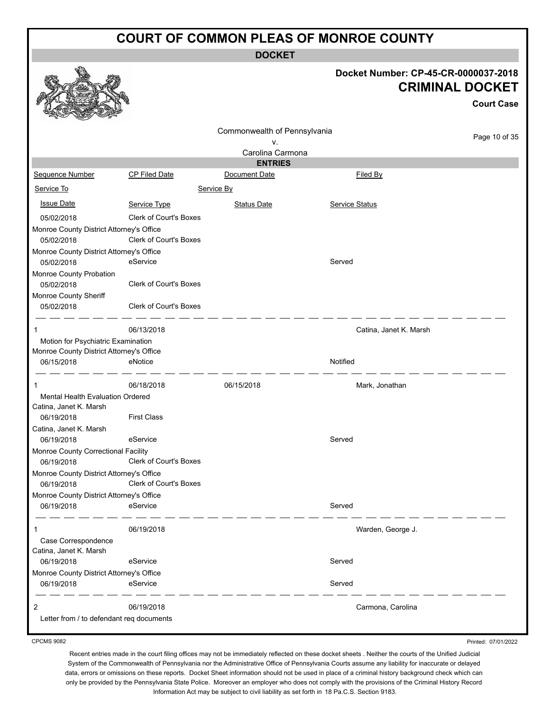**DOCKET**

|                                                        |                               |                              | Docket Number: CP-45-CR-0000037-2018 |                                             |
|--------------------------------------------------------|-------------------------------|------------------------------|--------------------------------------|---------------------------------------------|
|                                                        |                               |                              |                                      | <b>CRIMINAL DOCKET</b><br><b>Court Case</b> |
|                                                        |                               |                              |                                      |                                             |
|                                                        |                               | Commonwealth of Pennsylvania |                                      | Page 10 of 35                               |
|                                                        |                               | v.                           |                                      |                                             |
|                                                        |                               | Carolina Carmona             |                                      |                                             |
|                                                        | CP Filed Date                 | <b>ENTRIES</b>               |                                      |                                             |
| Sequence Number                                        |                               | Document Date                | Filed By                             |                                             |
| Service To                                             |                               | Service By                   |                                      |                                             |
| <b>Issue Date</b>                                      | Service Type                  | <b>Status Date</b>           | <b>Service Status</b>                |                                             |
| 05/02/2018                                             | Clerk of Court's Boxes        |                              |                                      |                                             |
| Monroe County District Attorney's Office               |                               |                              |                                      |                                             |
| 05/02/2018                                             | Clerk of Court's Boxes        |                              |                                      |                                             |
| Monroe County District Attorney's Office               |                               |                              |                                      |                                             |
| 05/02/2018                                             | eService                      |                              | Served                               |                                             |
| Monroe County Probation                                |                               |                              |                                      |                                             |
| 05/02/2018                                             | Clerk of Court's Boxes        |                              |                                      |                                             |
| Monroe County Sheriff<br>05/02/2018                    | Clerk of Court's Boxes        |                              |                                      |                                             |
| 1                                                      | 06/13/2018                    |                              | Catina, Janet K. Marsh               |                                             |
| Motion for Psychiatric Examination                     |                               |                              |                                      |                                             |
| Monroe County District Attorney's Office               |                               |                              |                                      |                                             |
| 06/15/2018                                             | eNotice                       |                              | Notified                             |                                             |
| 1                                                      | 06/18/2018                    | 06/15/2018                   | Mark, Jonathan                       |                                             |
| Mental Health Evaluation Ordered                       |                               |                              |                                      |                                             |
| Catina, Janet K. Marsh<br>06/19/2018                   | <b>First Class</b>            |                              |                                      |                                             |
| Catina, Janet K. Marsh                                 |                               |                              |                                      |                                             |
| 06/19/2018                                             | eService                      |                              | Served                               |                                             |
| Monroe County Correctional Facility                    |                               |                              |                                      |                                             |
| 06/19/2018                                             | Clerk of Court's Boxes        |                              |                                      |                                             |
| Monroe County District Attorney's Office               | <b>Clerk of Court's Boxes</b> |                              |                                      |                                             |
| 06/19/2018<br>Monroe County District Attorney's Office |                               |                              |                                      |                                             |
| 06/19/2018                                             | eService                      |                              | Served                               |                                             |
| 1                                                      | 06/19/2018                    |                              | Warden, George J.                    |                                             |
| Case Correspondence                                    |                               |                              |                                      |                                             |
| Catina, Janet K. Marsh                                 |                               |                              |                                      |                                             |
| 06/19/2018                                             | eService                      |                              | Served                               |                                             |
| Monroe County District Attorney's Office               |                               |                              |                                      |                                             |
| 06/19/2018                                             | eService                      |                              | Served                               |                                             |
| 2                                                      | 06/19/2018                    |                              | Carmona, Carolina                    |                                             |
| Letter from / to defendant req documents               |                               |                              |                                      |                                             |
|                                                        |                               |                              |                                      |                                             |

CPCMS 9082

 $\mathscr{C}_{\mathbb{A}}$ 

Recent entries made in the court filing offices may not be immediately reflected on these docket sheets . Neither the courts of the Unified Judicial System of the Commonwealth of Pennsylvania nor the Administrative Office of Pennsylvania Courts assume any liability for inaccurate or delayed data, errors or omissions on these reports. Docket Sheet information should not be used in place of a criminal history background check which can only be provided by the Pennsylvania State Police. Moreover an employer who does not comply with the provisions of the Criminal History Record Information Act may be subject to civil liability as set forth in 18 Pa.C.S. Section 9183.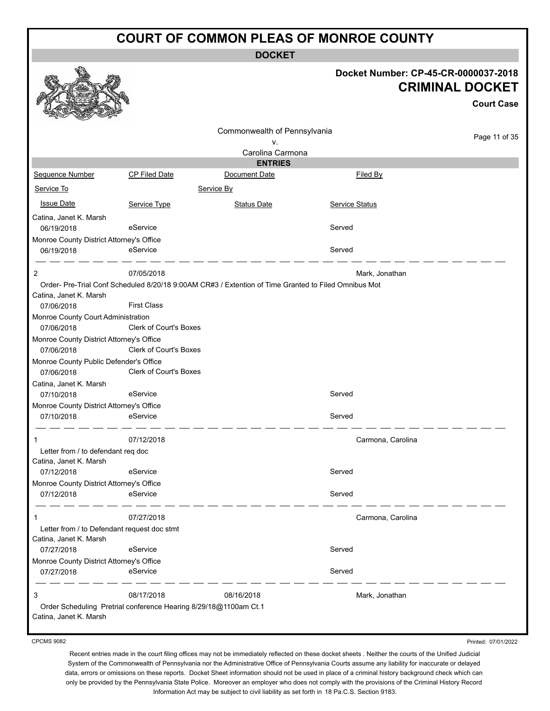**DOCKET**

| Docket Number: CP-45-CR-0000037-2018 |
|--------------------------------------|
| <b>CRIMINAL DOCKET</b>               |

|                                                        |                                                                                                      |                              |                       |                   | <b>Court Case</b> |
|--------------------------------------------------------|------------------------------------------------------------------------------------------------------|------------------------------|-----------------------|-------------------|-------------------|
|                                                        |                                                                                                      | Commonwealth of Pennsylvania |                       |                   | Page 11 of 35     |
|                                                        |                                                                                                      | ν.                           |                       |                   |                   |
|                                                        |                                                                                                      | Carolina Carmona             |                       |                   |                   |
|                                                        |                                                                                                      | <b>ENTRIES</b>               |                       |                   |                   |
| Sequence Number                                        | <b>CP Filed Date</b>                                                                                 | Document Date                | Filed By              |                   |                   |
| Service To                                             |                                                                                                      | Service By                   |                       |                   |                   |
| <b>Issue Date</b>                                      | Service Type                                                                                         | <b>Status Date</b>           | <b>Service Status</b> |                   |                   |
| Catina, Janet K. Marsh<br>06/19/2018                   | eService                                                                                             |                              | Served                |                   |                   |
| Monroe County District Attorney's Office               |                                                                                                      |                              |                       |                   |                   |
| 06/19/2018                                             | eService                                                                                             |                              | Served                |                   |                   |
| 2                                                      | 07/05/2018                                                                                           |                              | Mark, Jonathan        |                   |                   |
|                                                        | Order- Pre-Trial Conf Scheduled 8/20/18 9:00AM CR#3 / Extention of Time Granted to Filed Omnibus Mot |                              |                       |                   |                   |
| Catina, Janet K. Marsh<br>07/06/2018                   | <b>First Class</b>                                                                                   |                              |                       |                   |                   |
| Monroe County Court Administration                     |                                                                                                      |                              |                       |                   |                   |
| 07/06/2018                                             | <b>Clerk of Court's Boxes</b>                                                                        |                              |                       |                   |                   |
| Monroe County District Attorney's Office               |                                                                                                      |                              |                       |                   |                   |
| 07/06/2018                                             | <b>Clerk of Court's Boxes</b>                                                                        |                              |                       |                   |                   |
| Monroe County Public Defender's Office                 |                                                                                                      |                              |                       |                   |                   |
| 07/06/2018                                             | Clerk of Court's Boxes                                                                               |                              |                       |                   |                   |
| Catina, Janet K. Marsh                                 |                                                                                                      |                              |                       |                   |                   |
| 07/10/2018                                             | eService                                                                                             |                              | Served                |                   |                   |
| Monroe County District Attorney's Office               |                                                                                                      |                              |                       |                   |                   |
| 07/10/2018                                             | eService                                                                                             |                              | Served                |                   |                   |
| 1                                                      | 07/12/2018                                                                                           |                              |                       | Carmona, Carolina |                   |
| Letter from / to defendant req doc                     |                                                                                                      |                              |                       |                   |                   |
| Catina, Janet K. Marsh<br>07/12/2018                   | eService                                                                                             |                              | Served                |                   |                   |
| Monroe County District Attorney's Office               |                                                                                                      |                              |                       |                   |                   |
| 07/12/2018                                             | eService                                                                                             |                              | Served                |                   |                   |
|                                                        |                                                                                                      |                              |                       |                   |                   |
| 1                                                      | 07/27/2018                                                                                           |                              |                       | Carmona, Carolina |                   |
| Letter from / to Defendant request doc stmt            |                                                                                                      |                              |                       |                   |                   |
| Catina, Janet K. Marsh                                 |                                                                                                      |                              |                       |                   |                   |
| 07/27/2018                                             | eService                                                                                             |                              | Served                |                   |                   |
| Monroe County District Attorney's Office<br>07/27/2018 | eService                                                                                             |                              | Served                |                   |                   |
|                                                        |                                                                                                      |                              |                       |                   |                   |
| 3                                                      | 08/17/2018                                                                                           | 08/16/2018                   | Mark, Jonathan        |                   |                   |
|                                                        | Order Scheduling Pretrial conference Hearing 8/29/18@1100am Ct.1                                     |                              |                       |                   |                   |
| Catina, Janet K. Marsh                                 |                                                                                                      |                              |                       |                   |                   |

CPCMS 9082

Printed: 07/01/2022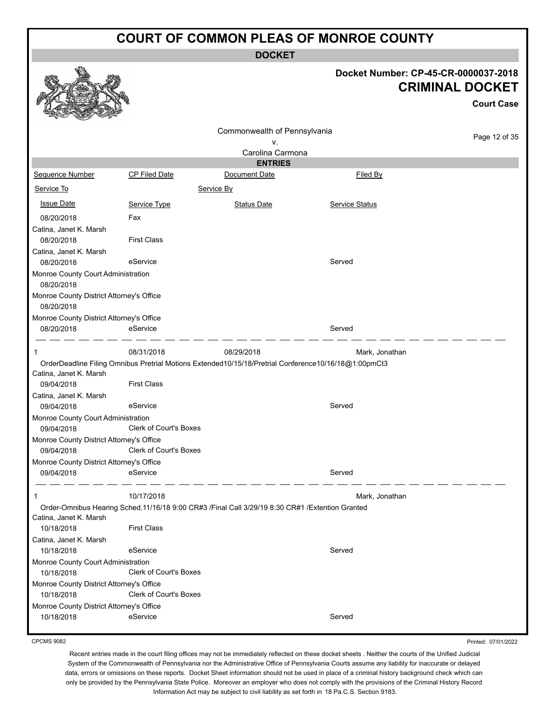**DOCKET**

|                                                                |                                  | <b>DOCKET</b>                                                                                                      |                                      |                                             |
|----------------------------------------------------------------|----------------------------------|--------------------------------------------------------------------------------------------------------------------|--------------------------------------|---------------------------------------------|
|                                                                |                                  |                                                                                                                    | Docket Number: CP-45-CR-0000037-2018 | <b>CRIMINAL DOCKET</b><br><b>Court Case</b> |
|                                                                |                                  | Commonwealth of Pennsylvania<br>٧.<br>Carolina Carmona                                                             |                                      | Page 12 of 35                               |
|                                                                |                                  | <b>ENTRIES</b>                                                                                                     |                                      |                                             |
| Sequence Number                                                | <b>CP Filed Date</b>             | Document Date                                                                                                      | <b>Filed By</b>                      |                                             |
| Service To                                                     |                                  | Service By                                                                                                         |                                      |                                             |
| <b>Issue Date</b>                                              | Service Type                     | <b>Status Date</b>                                                                                                 | <b>Service Status</b>                |                                             |
| 08/20/2018                                                     | Fax                              |                                                                                                                    |                                      |                                             |
| Catina, Janet K. Marsh                                         |                                  |                                                                                                                    |                                      |                                             |
| 08/20/2018                                                     | <b>First Class</b>               |                                                                                                                    |                                      |                                             |
| Catina, Janet K. Marsh<br>08/20/2018                           | eService                         |                                                                                                                    | Served                               |                                             |
| Monroe County Court Administration<br>08/20/2018               |                                  |                                                                                                                    |                                      |                                             |
| Monroe County District Attorney's Office<br>08/20/2018         |                                  |                                                                                                                    |                                      |                                             |
| Monroe County District Attorney's Office                       |                                  |                                                                                                                    |                                      |                                             |
| 08/20/2018                                                     | eService                         |                                                                                                                    | Served                               |                                             |
| Catina, Janet K. Marsh<br>09/04/2018                           | 08/31/2018<br><b>First Class</b> | 08/29/2018<br>OrderDeadline Filing Omnibus Pretrial Motions Extended10/15/18/Pretrial Conference10/16/18@1:00pmCt3 | Mark, Jonathan                       |                                             |
| Catina, Janet K. Marsh                                         |                                  |                                                                                                                    |                                      |                                             |
| 09/04/2018                                                     | eService                         |                                                                                                                    | Served                               |                                             |
| Monroe County Court Administration<br>09/04/2018               | <b>Clerk of Court's Boxes</b>    |                                                                                                                    |                                      |                                             |
| Monroe County District Attorney's Office<br>09/04/2018         | <b>Clerk of Court's Boxes</b>    |                                                                                                                    |                                      |                                             |
| Monroe County District Attorney's Office                       |                                  |                                                                                                                    |                                      |                                             |
| 09/04/2018                                                     | eService                         |                                                                                                                    | Served                               |                                             |
| 1                                                              | 10/17/2018                       |                                                                                                                    | Mark, Jonathan                       |                                             |
| Catina, Janet K. Marsh<br>10/18/2018                           | <b>First Class</b>               | Order-Omnibus Hearing Sched.11/16/18 9:00 CR#3 /Final Call 3/29/19 8:30 CR#1 /Extention Granted                    |                                      |                                             |
| Catina, Janet K. Marsh                                         | eService                         |                                                                                                                    | Served                               |                                             |
| 10/18/2018<br>Monroe County Court Administration<br>10/18/2018 | <b>Clerk of Court's Boxes</b>    |                                                                                                                    |                                      |                                             |
| Monroe County District Attorney's Office<br>10/18/2018         | Clerk of Court's Boxes           |                                                                                                                    |                                      |                                             |
| Monroe County District Attorney's Office                       |                                  |                                                                                                                    |                                      |                                             |
| 10/18/2018                                                     | eService                         |                                                                                                                    | Served                               |                                             |
|                                                                |                                  |                                                                                                                    |                                      |                                             |

CPCMS 9082

Printed: 07/01/2022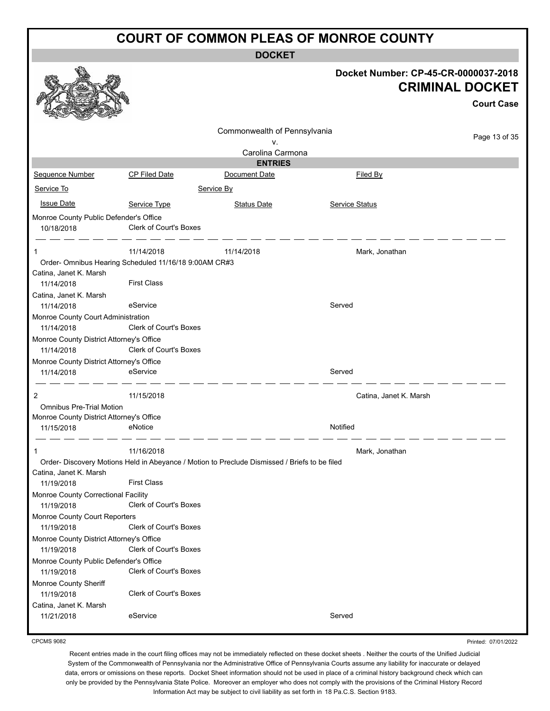**DOCKET**

|                                                                                 |                               |                                                                                              | Docket Number: CP-45-CR-0000037-2018 | <b>CRIMINAL DOCKET</b><br><b>Court Case</b> |
|---------------------------------------------------------------------------------|-------------------------------|----------------------------------------------------------------------------------------------|--------------------------------------|---------------------------------------------|
|                                                                                 |                               | Commonwealth of Pennsylvania                                                                 |                                      |                                             |
|                                                                                 |                               | v.                                                                                           |                                      | Page 13 of 35                               |
|                                                                                 |                               | Carolina Carmona                                                                             |                                      |                                             |
|                                                                                 |                               | <b>ENTRIES</b>                                                                               |                                      |                                             |
| Sequence Number                                                                 | <b>CP Filed Date</b>          | Document Date                                                                                | Filed By                             |                                             |
| Service To                                                                      |                               | Service By                                                                                   |                                      |                                             |
| <b>Issue Date</b>                                                               | Service Type                  | <b>Status Date</b>                                                                           | <b>Service Status</b>                |                                             |
| Monroe County Public Defender's Office                                          |                               |                                                                                              |                                      |                                             |
| 10/18/2018                                                                      | <b>Clerk of Court's Boxes</b> |                                                                                              |                                      |                                             |
| 1                                                                               | 11/14/2018                    | 11/14/2018                                                                                   | Mark, Jonathan                       |                                             |
| Order- Omnibus Hearing Scheduled 11/16/18 9:00AM CR#3<br>Catina, Janet K. Marsh |                               |                                                                                              |                                      |                                             |
| 11/14/2018                                                                      | <b>First Class</b>            |                                                                                              |                                      |                                             |
| Catina, Janet K. Marsh                                                          |                               |                                                                                              |                                      |                                             |
| 11/14/2018                                                                      | eService                      |                                                                                              | Served                               |                                             |
| Monroe County Court Administration                                              |                               |                                                                                              |                                      |                                             |
| 11/14/2018                                                                      | Clerk of Court's Boxes        |                                                                                              |                                      |                                             |
| Monroe County District Attorney's Office                                        |                               |                                                                                              |                                      |                                             |
| 11/14/2018                                                                      | <b>Clerk of Court's Boxes</b> |                                                                                              |                                      |                                             |
| Monroe County District Attorney's Office                                        |                               |                                                                                              |                                      |                                             |
| 11/14/2018                                                                      | eService                      |                                                                                              | Served                               |                                             |
| 2                                                                               | 11/15/2018                    |                                                                                              | Catina, Janet K. Marsh               |                                             |
| <b>Omnibus Pre-Trial Motion</b>                                                 |                               |                                                                                              |                                      |                                             |
| Monroe County District Attorney's Office<br>11/15/2018                          | eNotice                       |                                                                                              | Notified                             |                                             |
|                                                                                 |                               |                                                                                              |                                      |                                             |
| 1                                                                               | 11/16/2018                    |                                                                                              | Mark, Jonathan                       |                                             |
|                                                                                 |                               | Order-Discovery Motions Held in Abeyance / Motion to Preclude Dismissed / Briefs to be filed |                                      |                                             |
| Catina, Janet K. Marsh                                                          |                               |                                                                                              |                                      |                                             |
| 11/19/2018                                                                      | <b>First Class</b>            |                                                                                              |                                      |                                             |
| Monroe County Correctional Facility<br>11/19/2018                               | Clerk of Court's Boxes        |                                                                                              |                                      |                                             |
| Monroe County Court Reporters<br>11/19/2018                                     | <b>Clerk of Court's Boxes</b> |                                                                                              |                                      |                                             |
| Monroe County District Attorney's Office<br>11/19/2018                          | Clerk of Court's Boxes        |                                                                                              |                                      |                                             |
| Monroe County Public Defender's Office<br>11/19/2018                            | <b>Clerk of Court's Boxes</b> |                                                                                              |                                      |                                             |
| Monroe County Sheriff<br>11/19/2018                                             | Clerk of Court's Boxes        |                                                                                              |                                      |                                             |
| Catina, Janet K. Marsh                                                          |                               |                                                                                              |                                      |                                             |
| 11/21/2018                                                                      | eService                      |                                                                                              | Served                               |                                             |

CPCMS 9082

Printed: 07/01/2022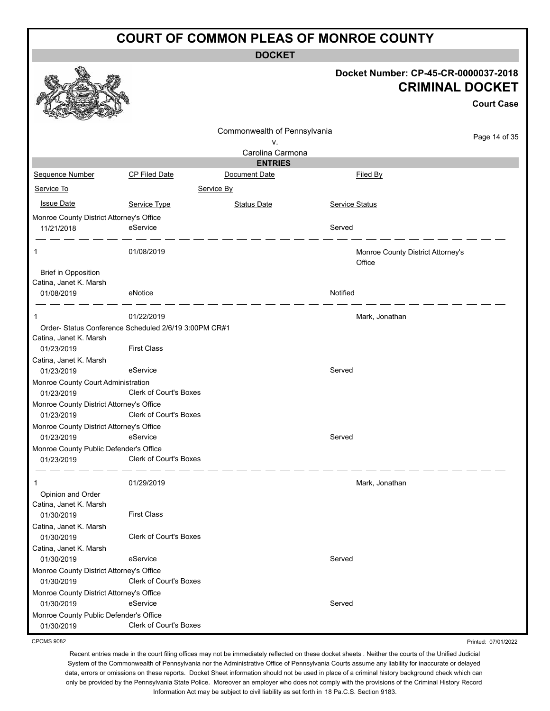**DOCKET**

|                                                                                 |                               | <b>UUUNEI</b>                |                |                                                                |
|---------------------------------------------------------------------------------|-------------------------------|------------------------------|----------------|----------------------------------------------------------------|
|                                                                                 |                               |                              |                | Docket Number: CP-45-CR-0000037-2018<br><b>CRIMINAL DOCKET</b> |
|                                                                                 |                               |                              |                | <b>Court Case</b>                                              |
|                                                                                 |                               | Commonwealth of Pennsylvania |                |                                                                |
|                                                                                 |                               | v.                           |                | Page 14 of 35                                                  |
|                                                                                 |                               | Carolina Carmona             |                |                                                                |
|                                                                                 |                               | <b>ENTRIES</b>               |                |                                                                |
| Sequence Number                                                                 | <b>CP Filed Date</b>          | Document Date                |                | Filed By                                                       |
| Service To                                                                      |                               | Service By                   |                |                                                                |
| <b>Issue Date</b>                                                               | Service Type                  | <b>Status Date</b>           | Service Status |                                                                |
| Monroe County District Attorney's Office                                        |                               |                              |                |                                                                |
| 11/21/2018                                                                      | eService                      |                              | Served         |                                                                |
| 1                                                                               | 01/08/2019                    |                              |                | Monroe County District Attorney's<br>Office                    |
| <b>Brief in Opposition</b>                                                      |                               |                              |                |                                                                |
| Catina, Janet K. Marsh<br>01/08/2019                                            | eNotice                       |                              | Notified       |                                                                |
|                                                                                 |                               |                              |                |                                                                |
| 1                                                                               | 01/22/2019                    |                              |                | Mark, Jonathan                                                 |
| Order- Status Conference Scheduled 2/6/19 3:00PM CR#1<br>Catina, Janet K. Marsh |                               |                              |                |                                                                |
| 01/23/2019                                                                      | <b>First Class</b>            |                              |                |                                                                |
| Catina, Janet K. Marsh<br>01/23/2019                                            | eService                      |                              | Served         |                                                                |
| Monroe County Court Administration<br>01/23/2019                                | Clerk of Court's Boxes        |                              |                |                                                                |
| Monroe County District Attorney's Office                                        |                               |                              |                |                                                                |
| 01/23/2019                                                                      | Clerk of Court's Boxes        |                              |                |                                                                |
| Monroe County District Attorney's Office                                        |                               |                              |                |                                                                |
| 01/23/2019                                                                      | eService                      |                              | Served         |                                                                |
| Monroe County Public Defender's Office<br>01/23/2019                            | <b>Clerk of Court's Boxes</b> |                              |                |                                                                |
| 1                                                                               | 01/29/2019                    |                              |                | Mark, Jonathan                                                 |
| Opinion and Order                                                               |                               |                              |                |                                                                |
| Catina, Janet K. Marsh<br>01/30/2019                                            | <b>First Class</b>            |                              |                |                                                                |
| Catina, Janet K. Marsh                                                          |                               |                              |                |                                                                |
| 01/30/2019                                                                      | <b>Clerk of Court's Boxes</b> |                              |                |                                                                |
| Catina, Janet K. Marsh                                                          |                               |                              |                |                                                                |
| 01/30/2019                                                                      | eService                      |                              | Served         |                                                                |
| Monroe County District Attorney's Office                                        |                               |                              |                |                                                                |
| 01/30/2019                                                                      | Clerk of Court's Boxes        |                              |                |                                                                |
| Monroe County District Attorney's Office                                        |                               |                              |                |                                                                |
| 01/30/2019                                                                      | eService                      |                              | Served         |                                                                |
| Monroe County Public Defender's Office<br>01/30/2019                            | Clerk of Court's Boxes        |                              |                |                                                                |

CPCMS 9082

Recent entries made in the court filing offices may not be immediately reflected on these docket sheets . Neither the courts of the Unified Judicial System of the Commonwealth of Pennsylvania nor the Administrative Office of Pennsylvania Courts assume any liability for inaccurate or delayed data, errors or omissions on these reports. Docket Sheet information should not be used in place of a criminal history background check which can only be provided by the Pennsylvania State Police. Moreover an employer who does not comply with the provisions of the Criminal History Record Information Act may be subject to civil liability as set forth in 18 Pa.C.S. Section 9183.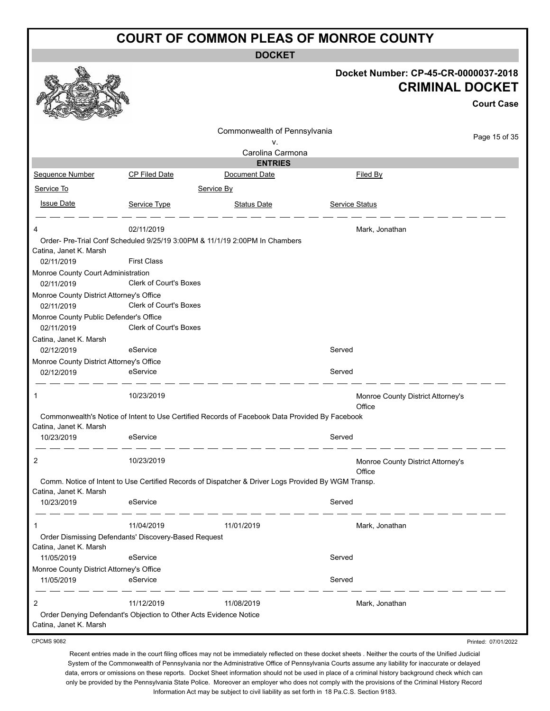**DOCKET**

|                                                      |                                                                   |                                                                                                     | Docket Number: CP-45-CR-0000037-2018<br><b>CRIMINAL DOCKET</b> |                     |
|------------------------------------------------------|-------------------------------------------------------------------|-----------------------------------------------------------------------------------------------------|----------------------------------------------------------------|---------------------|
|                                                      |                                                                   |                                                                                                     |                                                                | <b>Court Case</b>   |
|                                                      |                                                                   | Commonwealth of Pennsylvania                                                                        |                                                                | Page 15 of 35       |
|                                                      |                                                                   | ν.<br>Carolina Carmona                                                                              |                                                                |                     |
|                                                      |                                                                   | <b>ENTRIES</b>                                                                                      |                                                                |                     |
| Sequence Number                                      | <b>CP Filed Date</b>                                              | Document Date                                                                                       | Filed By                                                       |                     |
| Service To                                           |                                                                   | Service By                                                                                          |                                                                |                     |
| <b>Issue Date</b>                                    | Service Type                                                      | <b>Status Date</b>                                                                                  | <b>Service Status</b>                                          |                     |
|                                                      | 02/11/2019                                                        |                                                                                                     | Mark, Jonathan                                                 |                     |
| Catina, Janet K. Marsh                               |                                                                   | Order- Pre-Trial Conf Scheduled 9/25/19 3:00PM & 11/1/19 2:00PM In Chambers                         |                                                                |                     |
| 02/11/2019                                           | <b>First Class</b>                                                |                                                                                                     |                                                                |                     |
| Monroe County Court Administration                   |                                                                   |                                                                                                     |                                                                |                     |
| 02/11/2019                                           | <b>Clerk of Court's Boxes</b>                                     |                                                                                                     |                                                                |                     |
| Monroe County District Attorney's Office             |                                                                   |                                                                                                     |                                                                |                     |
| 02/11/2019                                           | <b>Clerk of Court's Boxes</b>                                     |                                                                                                     |                                                                |                     |
| Monroe County Public Defender's Office<br>02/11/2019 | Clerk of Court's Boxes                                            |                                                                                                     |                                                                |                     |
| Catina, Janet K. Marsh                               |                                                                   |                                                                                                     |                                                                |                     |
| 02/12/2019                                           | eService                                                          |                                                                                                     | Served                                                         |                     |
| Monroe County District Attorney's Office             |                                                                   |                                                                                                     |                                                                |                     |
| 02/12/2019                                           | eService                                                          |                                                                                                     | Served                                                         |                     |
| 1                                                    | 10/23/2019                                                        |                                                                                                     | Monroe County District Attorney's<br>Office                    |                     |
|                                                      |                                                                   | Commonwealth's Notice of Intent to Use Certified Records of Facebook Data Provided By Facebook      |                                                                |                     |
| Catina, Janet K. Marsh                               |                                                                   |                                                                                                     |                                                                |                     |
| 10/23/2019                                           | eService                                                          |                                                                                                     | Served                                                         |                     |
|                                                      | 10/23/2019                                                        |                                                                                                     | Monroe County District Attorney's<br>Office                    |                     |
| Catina, Janet K. Marsh                               |                                                                   | Comm. Notice of Intent to Use Certified Records of Dispatcher & Driver Logs Provided By WGM Transp. |                                                                |                     |
| 10/23/2019                                           | eService                                                          |                                                                                                     | Served                                                         |                     |
| 1                                                    | 11/04/2019                                                        | 11/01/2019                                                                                          | Mark, Jonathan                                                 |                     |
|                                                      | Order Dismissing Defendants' Discovery-Based Request              |                                                                                                     |                                                                |                     |
| Catina, Janet K. Marsh<br>11/05/2019                 | eService                                                          |                                                                                                     | Served                                                         |                     |
| Monroe County District Attorney's Office             |                                                                   |                                                                                                     |                                                                |                     |
| 11/05/2019                                           | eService                                                          |                                                                                                     | Served                                                         |                     |
| 2                                                    | 11/12/2019                                                        | 11/08/2019                                                                                          | Mark, Jonathan                                                 |                     |
| Catina, Janet K. Marsh                               | Order Denying Defendant's Objection to Other Acts Evidence Notice |                                                                                                     |                                                                |                     |
| <b>CPCMS 9082</b>                                    |                                                                   |                                                                                                     |                                                                | Printed: 07/01/2022 |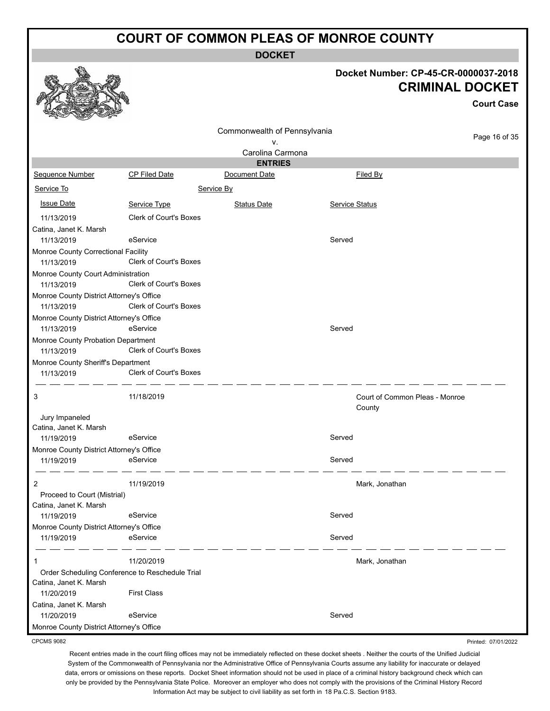**DOCKET**

#### **Docket Number: CP-45-CR-0000037-2018 CRIMINAL DOCKET**

**Court Case**

Printed: 07/01/2022

|                                                 |                               |                              |                |                                          | Court Case    |
|-------------------------------------------------|-------------------------------|------------------------------|----------------|------------------------------------------|---------------|
|                                                 |                               | Commonwealth of Pennsylvania |                |                                          |               |
|                                                 |                               | ٧.                           |                |                                          | Page 16 of 35 |
|                                                 |                               | Carolina Carmona             |                |                                          |               |
|                                                 |                               | <b>ENTRIES</b>               |                |                                          |               |
| Sequence Number                                 | <b>CP Filed Date</b>          | Document Date                |                | <b>Filed By</b>                          |               |
| Service To                                      |                               | Service By                   |                |                                          |               |
| <b>Issue Date</b>                               | Service Type                  | <b>Status Date</b>           | Service Status |                                          |               |
| 11/13/2019                                      | <b>Clerk of Court's Boxes</b> |                              |                |                                          |               |
| Catina, Janet K. Marsh                          |                               |                              |                |                                          |               |
| 11/13/2019                                      | eService                      |                              | Served         |                                          |               |
| Monroe County Correctional Facility             |                               |                              |                |                                          |               |
| 11/13/2019                                      | Clerk of Court's Boxes        |                              |                |                                          |               |
| Monroe County Court Administration              |                               |                              |                |                                          |               |
| 11/13/2019                                      | <b>Clerk of Court's Boxes</b> |                              |                |                                          |               |
| Monroe County District Attorney's Office        |                               |                              |                |                                          |               |
| 11/13/2019                                      | <b>Clerk of Court's Boxes</b> |                              |                |                                          |               |
| Monroe County District Attorney's Office        |                               |                              |                |                                          |               |
| 11/13/2019                                      | eService                      |                              | Served         |                                          |               |
| Monroe County Probation Department              |                               |                              |                |                                          |               |
| 11/13/2019                                      | <b>Clerk of Court's Boxes</b> |                              |                |                                          |               |
| Monroe County Sheriff's Department              |                               |                              |                |                                          |               |
| 11/13/2019                                      | Clerk of Court's Boxes        |                              |                |                                          |               |
| 3                                               | 11/18/2019                    |                              |                | Court of Common Pleas - Monroe<br>County |               |
| Jury Impaneled                                  |                               |                              |                |                                          |               |
| Catina, Janet K. Marsh                          |                               |                              |                |                                          |               |
| 11/19/2019                                      | eService                      |                              | Served         |                                          |               |
| Monroe County District Attorney's Office        |                               |                              |                |                                          |               |
| 11/19/2019                                      | eService                      |                              | Served         |                                          |               |
| 2                                               | 11/19/2019                    |                              |                | Mark, Jonathan                           |               |
| Proceed to Court (Mistrial)                     |                               |                              |                |                                          |               |
| Catina, Janet K. Marsh                          |                               |                              |                |                                          |               |
| 11/19/2019                                      | eService                      |                              | Served         |                                          |               |
| Monroe County District Attorney's Office        |                               |                              |                |                                          |               |
| 11/19/2019                                      | eService                      |                              | Served         |                                          |               |
|                                                 |                               |                              |                |                                          |               |
| 1                                               | 11/20/2019                    |                              |                | Mark, Jonathan                           |               |
| Order Scheduling Conference to Reschedule Trial |                               |                              |                |                                          |               |
| Catina, Janet K. Marsh                          |                               |                              |                |                                          |               |
| 11/20/2019                                      | <b>First Class</b>            |                              |                |                                          |               |
| Catina, Janet K. Marsh                          |                               |                              |                |                                          |               |
| 11/20/2019                                      | eService                      |                              | Served         |                                          |               |
| Monroe County District Attorney's Office        |                               |                              |                |                                          |               |

CPCMS 9082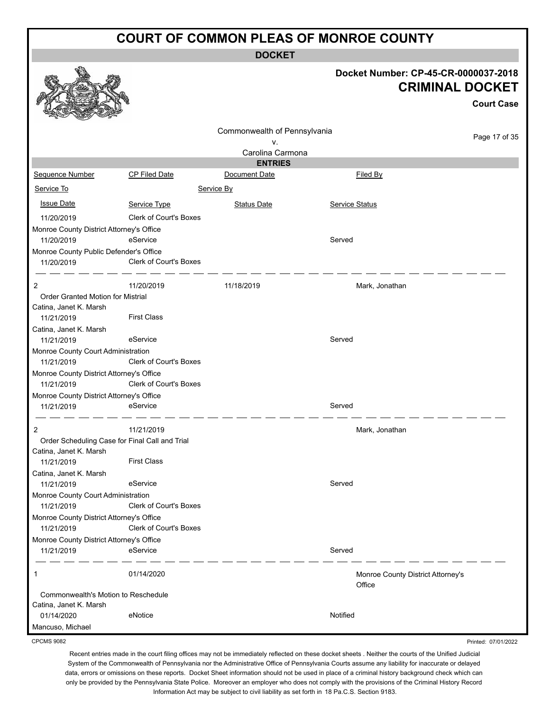**DOCKET**

|                                                               |                                                |                              | Docket Number: CP-45-CR-0000037-2018        | <b>CRIMINAL DOCKET</b><br><b>Court Case</b> |
|---------------------------------------------------------------|------------------------------------------------|------------------------------|---------------------------------------------|---------------------------------------------|
|                                                               |                                                | Commonwealth of Pennsylvania |                                             |                                             |
|                                                               |                                                | ٧.                           |                                             | Page 17 of 35                               |
|                                                               |                                                | Carolina Carmona             |                                             |                                             |
|                                                               |                                                | <b>ENTRIES</b>               |                                             |                                             |
| Sequence Number                                               | <b>CP Filed Date</b>                           | Document Date                | Filed By                                    |                                             |
| Service To                                                    |                                                | Service By                   |                                             |                                             |
| <b>Issue Date</b>                                             | Service Type                                   | <b>Status Date</b>           | Service Status                              |                                             |
| 11/20/2019                                                    | Clerk of Court's Boxes                         |                              |                                             |                                             |
| Monroe County District Attorney's Office                      |                                                |                              |                                             |                                             |
| 11/20/2019                                                    | eService                                       |                              | Served                                      |                                             |
| Monroe County Public Defender's Office                        |                                                |                              |                                             |                                             |
| 11/20/2019                                                    | Clerk of Court's Boxes                         |                              |                                             |                                             |
| 2                                                             | 11/20/2019                                     | 11/18/2019                   | Mark, Jonathan                              |                                             |
| <b>Order Granted Motion for Mistrial</b>                      |                                                |                              |                                             |                                             |
| Catina, Janet K. Marsh                                        |                                                |                              |                                             |                                             |
| 11/21/2019                                                    | <b>First Class</b>                             |                              |                                             |                                             |
| Catina, Janet K. Marsh                                        |                                                |                              |                                             |                                             |
| 11/21/2019                                                    | eService                                       |                              | Served                                      |                                             |
| Monroe County Court Administration                            |                                                |                              |                                             |                                             |
| 11/21/2019                                                    | <b>Clerk of Court's Boxes</b>                  |                              |                                             |                                             |
| Monroe County District Attorney's Office                      | Clerk of Court's Boxes                         |                              |                                             |                                             |
| 11/21/2019                                                    |                                                |                              |                                             |                                             |
| Monroe County District Attorney's Office                      |                                                |                              |                                             |                                             |
| 11/21/2019                                                    | eService                                       |                              | Served                                      |                                             |
| 2                                                             | 11/21/2019                                     |                              | Mark, Jonathan                              |                                             |
|                                                               | Order Scheduling Case for Final Call and Trial |                              |                                             |                                             |
| Catina, Janet K. Marsh                                        |                                                |                              |                                             |                                             |
| 11/21/2019                                                    | <b>First Class</b>                             |                              |                                             |                                             |
| Catina, Janet K. Marsh                                        | eService                                       |                              | Served                                      |                                             |
| 11/21/2019<br>Monroe County Court Administration              |                                                |                              |                                             |                                             |
| 11/21/2019                                                    | <b>Clerk of Court's Boxes</b>                  |                              |                                             |                                             |
| Monroe County District Attorney's Office                      |                                                |                              |                                             |                                             |
| 11/21/2019                                                    | <b>Clerk of Court's Boxes</b>                  |                              |                                             |                                             |
| Monroe County District Attorney's Office                      |                                                |                              |                                             |                                             |
| 11/21/2019                                                    | eService                                       |                              | Served                                      |                                             |
| 1                                                             | 01/14/2020                                     |                              | Monroe County District Attorney's<br>Office |                                             |
| Commonwealth's Motion to Reschedule<br>Catina, Janet K. Marsh |                                                |                              |                                             |                                             |

CPCMS 9082

Mancuso, Michael

Recent entries made in the court filing offices may not be immediately reflected on these docket sheets . Neither the courts of the Unified Judicial System of the Commonwealth of Pennsylvania nor the Administrative Office of Pennsylvania Courts assume any liability for inaccurate or delayed data, errors or omissions on these reports. Docket Sheet information should not be used in place of a criminal history background check which can only be provided by the Pennsylvania State Police. Moreover an employer who does not comply with the provisions of the Criminal History Record Information Act may be subject to civil liability as set forth in 18 Pa.C.S. Section 9183.

01/14/2020 eNotice environmental environmental environmental environmental environmental environmental environmental environmental environmental environmental environmental environmental environmental environmental environ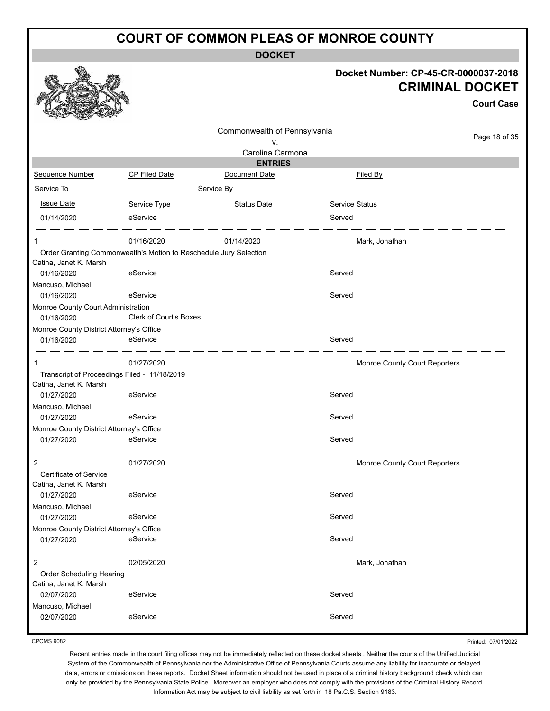**DOCKET**

| Docket Number: CP-45-CR-0000037-2018 |
|--------------------------------------|
| <b>CRIMINAL DOCKET</b>               |

**Court Case**

|                                                        |                                                                   | Commonwealth of Pennsylvania |                               |               |
|--------------------------------------------------------|-------------------------------------------------------------------|------------------------------|-------------------------------|---------------|
|                                                        |                                                                   | v.                           |                               | Page 18 of 35 |
|                                                        |                                                                   | Carolina Carmona             |                               |               |
|                                                        |                                                                   | <b>ENTRIES</b>               |                               |               |
| Sequence Number                                        | CP Filed Date                                                     | Document Date                | Filed By                      |               |
| Service To                                             |                                                                   | Service By                   |                               |               |
| <b>Issue Date</b>                                      | Service Type                                                      | <b>Status Date</b>           | Service Status                |               |
| 01/14/2020                                             | eService                                                          |                              | Served                        |               |
| 1                                                      | 01/16/2020                                                        | 01/14/2020                   | Mark, Jonathan                |               |
| Catina, Janet K. Marsh                                 | Order Granting Commonwealth's Motion to Reschedule Jury Selection |                              |                               |               |
| 01/16/2020                                             | eService                                                          |                              | Served                        |               |
| Mancuso, Michael                                       |                                                                   |                              |                               |               |
| 01/16/2020                                             | eService                                                          |                              | Served                        |               |
| Monroe County Court Administration<br>01/16/2020       | <b>Clerk of Court's Boxes</b>                                     |                              |                               |               |
| Monroe County District Attorney's Office               |                                                                   |                              |                               |               |
| 01/16/2020                                             | eService                                                          |                              | Served                        |               |
|                                                        |                                                                   |                              |                               |               |
|                                                        | 01/27/2020                                                        |                              | Monroe County Court Reporters |               |
|                                                        | Transcript of Proceedings Filed - 11/18/2019                      |                              |                               |               |
| Catina, Janet K. Marsh<br>01/27/2020                   | eService                                                          |                              | Served                        |               |
| Mancuso, Michael                                       |                                                                   |                              |                               |               |
| 01/27/2020                                             | eService                                                          |                              | Served                        |               |
| Monroe County District Attorney's Office               |                                                                   |                              |                               |               |
| 01/27/2020                                             | eService                                                          |                              | Served                        |               |
| 2                                                      | 01/27/2020                                                        |                              | Monroe County Court Reporters |               |
| Certificate of Service                                 |                                                                   |                              |                               |               |
| Catina, Janet K. Marsh                                 |                                                                   |                              |                               |               |
| 01/27/2020                                             | eService                                                          |                              | Served                        |               |
| Mancuso, Michael                                       |                                                                   |                              |                               |               |
| 01/27/2020                                             | eService                                                          |                              | Served                        |               |
| Monroe County District Attorney's Office<br>01/27/2020 | eService                                                          |                              | Served                        |               |
| 2                                                      | 02/05/2020                                                        |                              | Mark, Jonathan                |               |
| Order Scheduling Hearing                               |                                                                   |                              |                               |               |
| Catina, Janet K. Marsh                                 |                                                                   |                              |                               |               |
| 02/07/2020                                             | eService                                                          |                              | Served                        |               |
| Mancuso, Michael                                       |                                                                   |                              |                               |               |
| 02/07/2020                                             | eService                                                          |                              | Served                        |               |
|                                                        |                                                                   |                              |                               |               |

CPCMS 9082

Printed: 07/01/2022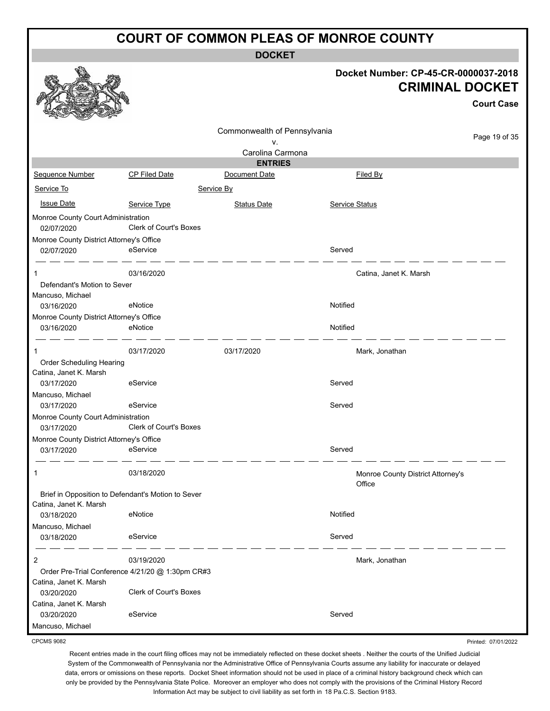**DOCKET**

|                                                    |                                                  | <b>DOCKE</b>                 |                       |                                                                |
|----------------------------------------------------|--------------------------------------------------|------------------------------|-----------------------|----------------------------------------------------------------|
|                                                    |                                                  |                              |                       | Docket Number: CP-45-CR-0000037-2018<br><b>CRIMINAL DOCKET</b> |
|                                                    |                                                  |                              |                       | <b>Court Case</b>                                              |
|                                                    |                                                  |                              |                       |                                                                |
|                                                    |                                                  | Commonwealth of Pennsylvania |                       | Page 19 of 35                                                  |
|                                                    |                                                  | v.<br>Carolina Carmona       |                       |                                                                |
|                                                    |                                                  | <b>ENTRIES</b>               |                       |                                                                |
| <b>Sequence Number</b>                             | CP Filed Date                                    | Document Date                |                       | Filed By                                                       |
| Service To                                         |                                                  | Service By                   |                       |                                                                |
| <b>Issue Date</b>                                  | Service Type                                     | <b>Status Date</b>           | <b>Service Status</b> |                                                                |
| Monroe County Court Administration                 |                                                  |                              |                       |                                                                |
| 02/07/2020                                         | Clerk of Court's Boxes                           |                              |                       |                                                                |
| Monroe County District Attorney's Office           |                                                  |                              |                       |                                                                |
| 02/07/2020                                         | eService                                         |                              | Served                |                                                                |
| 1                                                  | 03/16/2020                                       |                              |                       | Catina, Janet K. Marsh                                         |
| Defendant's Motion to Sever                        |                                                  |                              |                       |                                                                |
| Mancuso, Michael<br>03/16/2020                     | eNotice                                          |                              | Notified              |                                                                |
| Monroe County District Attorney's Office           |                                                  |                              |                       |                                                                |
| 03/16/2020                                         | eNotice                                          |                              | Notified              |                                                                |
|                                                    |                                                  |                              |                       |                                                                |
|                                                    | 03/17/2020                                       | 03/17/2020                   |                       | Mark, Jonathan                                                 |
| Order Scheduling Hearing                           |                                                  |                              |                       |                                                                |
| Catina, Janet K. Marsh<br>03/17/2020               | eService                                         |                              | Served                |                                                                |
| Mancuso, Michael                                   |                                                  |                              |                       |                                                                |
| 03/17/2020                                         | eService                                         |                              | Served                |                                                                |
| Monroe County Court Administration<br>03/17/2020   | <b>Clerk of Court's Boxes</b>                    |                              |                       |                                                                |
| Monroe County District Attorney's Office           |                                                  |                              |                       |                                                                |
| 03/17/2020                                         | eService                                         |                              | Served                |                                                                |
| 1                                                  | 03/18/2020                                       |                              |                       | Monroe County District Attorney's<br>Office                    |
| Brief in Opposition to Defendant's Motion to Sever |                                                  |                              |                       |                                                                |
| Catina, Janet K. Marsh<br>03/18/2020               | eNotice                                          |                              | Notified              |                                                                |
| Mancuso, Michael                                   |                                                  |                              |                       |                                                                |
| 03/18/2020                                         | eService                                         |                              | Served                |                                                                |
| 2                                                  | 03/19/2020                                       |                              |                       | Mark, Jonathan                                                 |
|                                                    | Order Pre-Trial Conference 4/21/20 @ 1:30pm CR#3 |                              |                       |                                                                |
| Catina, Janet K. Marsh                             |                                                  |                              |                       |                                                                |
| 03/20/2020                                         | <b>Clerk of Court's Boxes</b>                    |                              |                       |                                                                |
| Catina, Janet K. Marsh                             |                                                  |                              |                       |                                                                |
| 03/20/2020                                         | eService                                         |                              | Served                |                                                                |
| Mancuso, Michael                                   |                                                  |                              |                       |                                                                |

CPCMS 9082

Recent entries made in the court filing offices may not be immediately reflected on these docket sheets . Neither the courts of the Unified Judicial System of the Commonwealth of Pennsylvania nor the Administrative Office of Pennsylvania Courts assume any liability for inaccurate or delayed data, errors or omissions on these reports. Docket Sheet information should not be used in place of a criminal history background check which can only be provided by the Pennsylvania State Police. Moreover an employer who does not comply with the provisions of the Criminal History Record Information Act may be subject to civil liability as set forth in 18 Pa.C.S. Section 9183.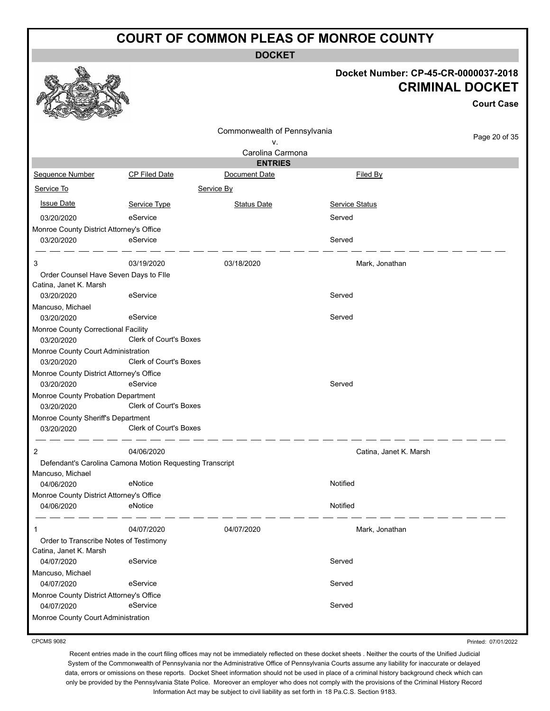**DOCKET**

#### **Docket Number: CP-45-CR-0000037-2018 CRIMINAL DOCKET**

|                                                   |                                                          |                                 |                        | <b>Court Case</b> |
|---------------------------------------------------|----------------------------------------------------------|---------------------------------|------------------------|-------------------|
|                                                   |                                                          | Commonwealth of Pennsylvania    |                        | Page 20 of 35     |
|                                                   |                                                          | ν.                              |                        |                   |
|                                                   |                                                          | Carolina Carmona                |                        |                   |
| Sequence Number                                   | CP Filed Date                                            | <b>ENTRIES</b><br>Document Date | Filed By               |                   |
| Service To                                        |                                                          |                                 |                        |                   |
|                                                   |                                                          | Service By                      |                        |                   |
| <b>Issue Date</b>                                 | Service Type                                             | <b>Status Date</b>              | <b>Service Status</b>  |                   |
| 03/20/2020                                        | eService                                                 |                                 | Served                 |                   |
| Monroe County District Attorney's Office          | eService                                                 |                                 |                        |                   |
| 03/20/2020                                        |                                                          |                                 | Served                 |                   |
| 3                                                 | 03/19/2020                                               | 03/18/2020                      | Mark, Jonathan         |                   |
| Order Counsel Have Seven Days to Flle             |                                                          |                                 |                        |                   |
| Catina, Janet K. Marsh                            |                                                          |                                 |                        |                   |
| 03/20/2020                                        | eService                                                 |                                 | Served                 |                   |
| Mancuso, Michael                                  | eService                                                 |                                 | Served                 |                   |
| 03/20/2020                                        |                                                          |                                 |                        |                   |
| Monroe County Correctional Facility<br>03/20/2020 | Clerk of Court's Boxes                                   |                                 |                        |                   |
| Monroe County Court Administration                |                                                          |                                 |                        |                   |
| 03/20/2020                                        | <b>Clerk of Court's Boxes</b>                            |                                 |                        |                   |
| Monroe County District Attorney's Office          |                                                          |                                 |                        |                   |
| 03/20/2020                                        | eService                                                 |                                 | Served                 |                   |
| Monroe County Probation Department                |                                                          |                                 |                        |                   |
| 03/20/2020                                        | Clerk of Court's Boxes                                   |                                 |                        |                   |
| Monroe County Sheriff's Department                | Clerk of Court's Boxes                                   |                                 |                        |                   |
| 03/20/2020                                        |                                                          |                                 |                        |                   |
| 2                                                 | 04/06/2020                                               |                                 | Catina, Janet K. Marsh |                   |
|                                                   | Defendant's Carolina Camona Motion Requesting Transcript |                                 |                        |                   |
| Mancuso, Michael                                  |                                                          |                                 |                        |                   |
| 04/06/2020                                        | eNotice                                                  |                                 | Notified               |                   |
| Monroe County District Attorney's Office          |                                                          |                                 | Notified               |                   |
| 04/06/2020                                        | eNotice                                                  |                                 |                        |                   |
| -1                                                | 04/07/2020                                               | 04/07/2020                      | Mark, Jonathan         |                   |
| Order to Transcribe Notes of Testimony            |                                                          |                                 |                        |                   |
| Catina, Janet K. Marsh                            |                                                          |                                 |                        |                   |
| 04/07/2020                                        | eService                                                 |                                 | Served                 |                   |
| Mancuso, Michael                                  |                                                          |                                 |                        |                   |
| 04/07/2020                                        | eService                                                 |                                 | Served                 |                   |
| Monroe County District Attorney's Office          |                                                          |                                 |                        |                   |
| 04/07/2020                                        | eService                                                 |                                 | Served                 |                   |
| Monroe County Court Administration                |                                                          |                                 |                        |                   |

CPCMS 9082

燚

Recent entries made in the court filing offices may not be immediately reflected on these docket sheets . Neither the courts of the Unified Judicial System of the Commonwealth of Pennsylvania nor the Administrative Office of Pennsylvania Courts assume any liability for inaccurate or delayed data, errors or omissions on these reports. Docket Sheet information should not be used in place of a criminal history background check which can only be provided by the Pennsylvania State Police. Moreover an employer who does not comply with the provisions of the Criminal History Record Information Act may be subject to civil liability as set forth in 18 Pa.C.S. Section 9183.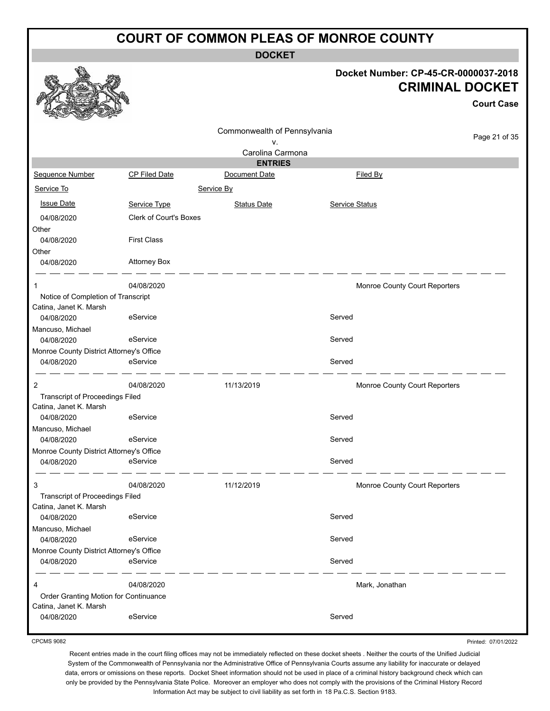**DOCKET**

#### **Docket Number: CP-45-CR-0000037-2018 CRIMINAL DOCKET**

**Court Case**

|                                          |                               |                              |                |                               | <b>Court Case</b> |
|------------------------------------------|-------------------------------|------------------------------|----------------|-------------------------------|-------------------|
|                                          |                               | Commonwealth of Pennsylvania |                |                               |                   |
|                                          |                               | ٧.                           |                |                               | Page 21 of 35     |
|                                          |                               | Carolina Carmona             |                |                               |                   |
|                                          |                               | <b>ENTRIES</b>               |                |                               |                   |
| Sequence Number                          | <b>CP Filed Date</b>          | Document Date                |                | Filed By                      |                   |
| Service To                               |                               | Service By                   |                |                               |                   |
| <b>Issue Date</b>                        | Service Type                  | <b>Status Date</b>           | Service Status |                               |                   |
| 04/08/2020                               | <b>Clerk of Court's Boxes</b> |                              |                |                               |                   |
| Other                                    |                               |                              |                |                               |                   |
| 04/08/2020                               | <b>First Class</b>            |                              |                |                               |                   |
| Other                                    |                               |                              |                |                               |                   |
| 04/08/2020                               | <b>Attorney Box</b>           |                              |                |                               |                   |
| 1                                        | 04/08/2020                    |                              |                | Monroe County Court Reporters |                   |
| Notice of Completion of Transcript       |                               |                              |                |                               |                   |
| Catina, Janet K. Marsh                   |                               |                              |                |                               |                   |
| 04/08/2020                               | eService                      |                              | Served         |                               |                   |
| Mancuso, Michael                         |                               |                              |                |                               |                   |
| 04/08/2020                               | eService                      |                              | Served         |                               |                   |
| Monroe County District Attorney's Office |                               |                              |                |                               |                   |
| 04/08/2020                               | eService                      |                              | Served         |                               |                   |
| $\overline{2}$                           | 04/08/2020                    | 11/13/2019                   |                | Monroe County Court Reporters |                   |
| Transcript of Proceedings Filed          |                               |                              |                |                               |                   |
| Catina, Janet K. Marsh                   |                               |                              |                |                               |                   |
| 04/08/2020                               | eService                      |                              | Served         |                               |                   |
| Mancuso, Michael                         |                               |                              |                |                               |                   |
| 04/08/2020                               | eService                      |                              | Served         |                               |                   |
| Monroe County District Attorney's Office |                               |                              |                |                               |                   |
| 04/08/2020                               | eService                      |                              | Served         |                               |                   |
| 3                                        | 04/08/2020                    | 11/12/2019                   |                | Monroe County Court Reporters |                   |
| <b>Transcript of Proceedings Filed</b>   |                               |                              |                |                               |                   |
| Catina, Janet K. Marsh                   |                               |                              |                |                               |                   |
| 04/08/2020                               | eService                      |                              | Served         |                               |                   |
| Mancuso, Michael                         |                               |                              |                |                               |                   |
| 04/08/2020                               | eService                      |                              | Served         |                               |                   |
| Monroe County District Attorney's Office |                               |                              |                |                               |                   |
| 04/08/2020                               | eService                      |                              | Served         |                               |                   |
| 4                                        | 04/08/2020                    |                              |                | Mark, Jonathan                |                   |
| Order Granting Motion for Continuance    |                               |                              |                |                               |                   |
| Catina, Janet K. Marsh                   |                               |                              |                |                               |                   |
| 04/08/2020                               | eService                      |                              | Served         |                               |                   |

CPCMS 9082

Printed: 07/01/2022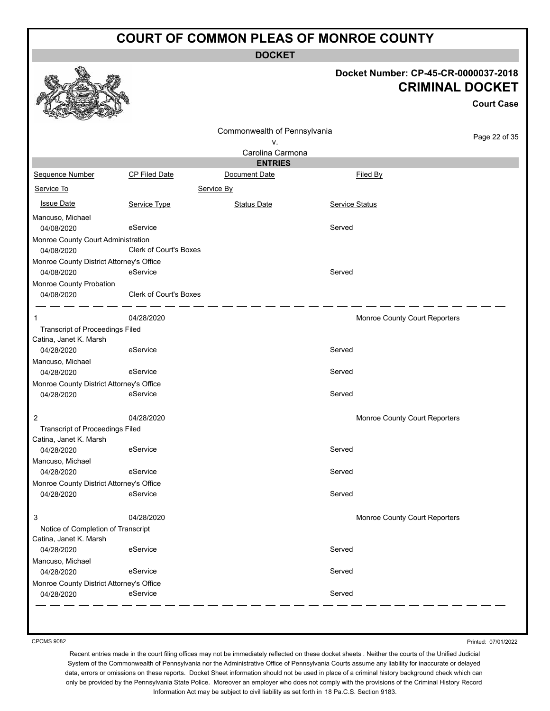**DOCKET**

#### **Docket Number: CP-45-CR-0000037-2018 CRIMINAL DOCKET**

**Court Case**

|                                                              |                        |                              |                | <b>Court Case</b>             |
|--------------------------------------------------------------|------------------------|------------------------------|----------------|-------------------------------|
|                                                              |                        | Commonwealth of Pennsylvania |                | Page 22 of 35                 |
|                                                              |                        | ٧.                           |                |                               |
|                                                              |                        | Carolina Carmona             |                |                               |
|                                                              |                        | <b>ENTRIES</b>               |                |                               |
| Sequence Number                                              | CP Filed Date          | Document Date                | Filed By       |                               |
| Service To                                                   |                        | Service By                   |                |                               |
| <b>Issue Date</b>                                            | Service Type           | <b>Status Date</b>           | Service Status |                               |
| Mancuso, Michael                                             |                        |                              |                |                               |
| 04/08/2020                                                   | eService               |                              | Served         |                               |
| Monroe County Court Administration<br>04/08/2020             | Clerk of Court's Boxes |                              |                |                               |
| Monroe County District Attorney's Office                     |                        |                              |                |                               |
| 04/08/2020                                                   | eService               |                              | Served         |                               |
| Monroe County Probation                                      |                        |                              |                |                               |
| 04/08/2020                                                   | Clerk of Court's Boxes |                              |                |                               |
| 1                                                            | 04/28/2020             |                              |                | Monroe County Court Reporters |
| Transcript of Proceedings Filed                              |                        |                              |                |                               |
| Catina, Janet K. Marsh                                       |                        |                              |                |                               |
| 04/28/2020                                                   | eService               |                              | Served         |                               |
| Mancuso, Michael<br>04/28/2020                               | eService               |                              | Served         |                               |
| Monroe County District Attorney's Office                     |                        |                              |                |                               |
| 04/28/2020                                                   | eService               |                              | Served         |                               |
| 2                                                            | 04/28/2020             |                              |                | Monroe County Court Reporters |
| <b>Transcript of Proceedings Filed</b>                       |                        |                              |                |                               |
| Catina, Janet K. Marsh                                       |                        |                              |                |                               |
| 04/28/2020                                                   | eService               |                              | Served         |                               |
| Mancuso, Michael                                             |                        |                              |                |                               |
| 04/28/2020                                                   | eService               |                              | Served         |                               |
| Monroe County District Attorney's Office                     |                        |                              |                |                               |
| 04/28/2020                                                   | eService               |                              | Served         |                               |
| 3                                                            | 04/28/2020             |                              |                | Monroe County Court Reporters |
| Notice of Completion of Transcript<br>Catina, Janet K. Marsh |                        |                              |                |                               |
| 04/28/2020                                                   | eService               |                              | Served         |                               |
| Mancuso, Michael                                             |                        |                              |                |                               |
| 04/28/2020                                                   | eService               |                              | Served         |                               |
| Monroe County District Attorney's Office                     |                        |                              |                |                               |
| 04/28/2020                                                   | eService               |                              | Served         |                               |

CPCMS 9082

Printed: 07/01/2022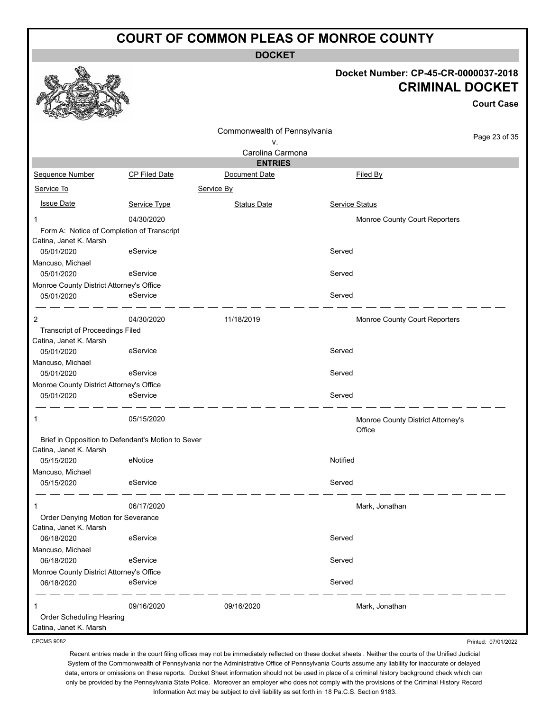**DOCKET**

#### **Docket Number: CP-45-CR-0000037-2018 CRIMINAL DOCKET**

**Court Case**

|                                                        |                                                    | Commonwealth of Pennsylvania |                                             |               |
|--------------------------------------------------------|----------------------------------------------------|------------------------------|---------------------------------------------|---------------|
|                                                        |                                                    | v.                           |                                             | Page 23 of 35 |
|                                                        |                                                    | Carolina Carmona             |                                             |               |
|                                                        |                                                    | <b>ENTRIES</b>               |                                             |               |
| Sequence Number                                        | CP Filed Date                                      | Document Date                | Filed By                                    |               |
| Service To                                             |                                                    | Service By                   |                                             |               |
| <b>Issue Date</b>                                      | Service Type                                       | <b>Status Date</b>           | Service Status                              |               |
|                                                        | 04/30/2020                                         |                              | Monroe County Court Reporters               |               |
| Catina, Janet K. Marsh                                 | Form A: Notice of Completion of Transcript         |                              |                                             |               |
| 05/01/2020                                             | eService                                           |                              | Served                                      |               |
| Mancuso, Michael                                       |                                                    |                              |                                             |               |
| 05/01/2020                                             | eService                                           |                              | Served                                      |               |
| Monroe County District Attorney's Office<br>05/01/2020 | eService                                           |                              | Served                                      |               |
|                                                        |                                                    |                              |                                             |               |
| $\overline{c}$                                         | 04/30/2020                                         | 11/18/2019                   | Monroe County Court Reporters               |               |
| <b>Transcript of Proceedings Filed</b>                 |                                                    |                              |                                             |               |
| Catina, Janet K. Marsh                                 |                                                    |                              |                                             |               |
| 05/01/2020<br>Mancuso, Michael                         | eService                                           |                              | Served                                      |               |
| 05/01/2020                                             | eService                                           |                              | Served                                      |               |
| Monroe County District Attorney's Office               |                                                    |                              |                                             |               |
| 05/01/2020                                             | eService                                           |                              | Served                                      |               |
| 1                                                      | 05/15/2020                                         |                              | Monroe County District Attorney's<br>Office |               |
|                                                        | Brief in Opposition to Defendant's Motion to Sever |                              |                                             |               |
| Catina, Janet K. Marsh                                 |                                                    |                              |                                             |               |
| 05/15/2020                                             | eNotice                                            |                              | Notified                                    |               |
| Mancuso, Michael<br>05/15/2020                         | eService                                           |                              | Served                                      |               |
|                                                        |                                                    |                              |                                             |               |
| 1                                                      | 06/17/2020                                         |                              | Mark, Jonathan                              |               |
| Order Denying Motion for Severance                     |                                                    |                              |                                             |               |
| Catina, Janet K. Marsh                                 |                                                    |                              |                                             |               |
| 06/18/2020                                             | eService                                           |                              | Served                                      |               |
| Mancuso, Michael<br>06/18/2020                         | eService                                           |                              | Served                                      |               |
| Monroe County District Attorney's Office               |                                                    |                              |                                             |               |
| 06/18/2020                                             | eService                                           |                              | Served                                      |               |
| 1                                                      | 09/16/2020                                         | 09/16/2020                   | Mark, Jonathan                              |               |
| Order Scheduling Hearing                               |                                                    |                              |                                             |               |
| Catina, Janet K. Marsh                                 |                                                    |                              |                                             |               |

CPCMS 9082

Recent entries made in the court filing offices may not be immediately reflected on these docket sheets . Neither the courts of the Unified Judicial System of the Commonwealth of Pennsylvania nor the Administrative Office of Pennsylvania Courts assume any liability for inaccurate or delayed data, errors or omissions on these reports. Docket Sheet information should not be used in place of a criminal history background check which can only be provided by the Pennsylvania State Police. Moreover an employer who does not comply with the provisions of the Criminal History Record Information Act may be subject to civil liability as set forth in 18 Pa.C.S. Section 9183.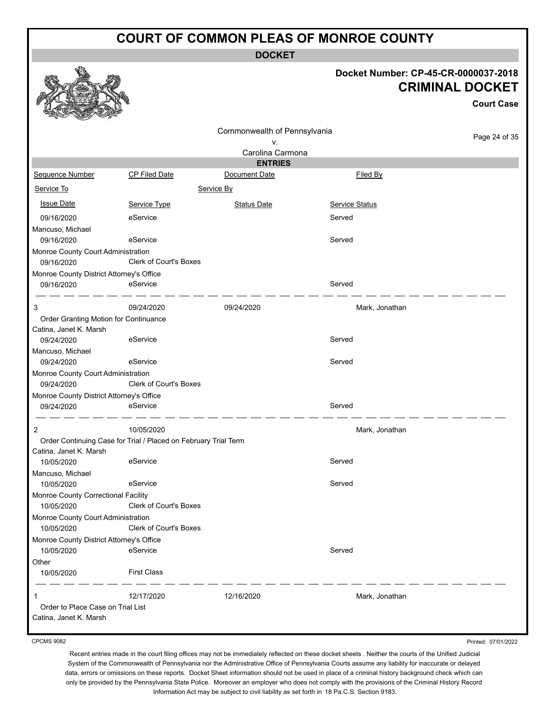**DOCKET**

#### **Docket Number: CP-45-CR-0000037-2018 CRIMINAL DOCKET**

|                                                        |                                                                 |                                    |                | <b>Court Case</b> |
|--------------------------------------------------------|-----------------------------------------------------------------|------------------------------------|----------------|-------------------|
|                                                        |                                                                 | Commonwealth of Pennsylvania<br>۷. |                | Page 24 of 35     |
|                                                        |                                                                 | Carolina Carmona<br><b>ENTRIES</b> |                |                   |
| Sequence Number                                        | <b>CP Filed Date</b>                                            | Document Date                      | Filed By       |                   |
| Service To                                             |                                                                 | Service By                         |                |                   |
|                                                        |                                                                 |                                    |                |                   |
| <b>Issue Date</b>                                      | Service Type                                                    | <b>Status Date</b>                 | Service Status |                   |
| 09/16/2020                                             | eService                                                        |                                    | Served         |                   |
| Mancuso, Michael                                       |                                                                 |                                    |                |                   |
| 09/16/2020                                             | eService                                                        |                                    | Served         |                   |
| Monroe County Court Administration                     |                                                                 |                                    |                |                   |
| 09/16/2020                                             | Clerk of Court's Boxes                                          |                                    |                |                   |
| Monroe County District Attorney's Office<br>09/16/2020 | eService                                                        |                                    | Served         |                   |
|                                                        |                                                                 |                                    |                |                   |
| 3                                                      | 09/24/2020                                                      | 09/24/2020                         | Mark, Jonathan |                   |
| Order Granting Motion for Continuance                  |                                                                 |                                    |                |                   |
| Catina, Janet K. Marsh                                 |                                                                 |                                    |                |                   |
| 09/24/2020                                             | eService                                                        |                                    | Served         |                   |
| Mancuso, Michael                                       |                                                                 |                                    |                |                   |
| 09/24/2020                                             | eService                                                        |                                    | Served         |                   |
| Monroe County Court Administration                     |                                                                 |                                    |                |                   |
| 09/24/2020                                             | <b>Clerk of Court's Boxes</b>                                   |                                    |                |                   |
| Monroe County District Attorney's Office               |                                                                 |                                    |                |                   |
| 09/24/2020                                             | eService                                                        |                                    | Served         |                   |
| 2                                                      | 10/05/2020                                                      |                                    | Mark, Jonathan |                   |
|                                                        | Order Continuing Case for Trial / Placed on February Trial Term |                                    |                |                   |
| Catina, Janet K. Marsh                                 |                                                                 |                                    |                |                   |
| 10/05/2020                                             | eService                                                        |                                    | Served         |                   |
| Mancuso, Michael                                       |                                                                 |                                    |                |                   |
| 10/05/2020                                             | eService                                                        |                                    | Served         |                   |
| Monroe County Correctional Facility                    |                                                                 |                                    |                |                   |
| 10/05/2020                                             | Clerk of Court's Boxes                                          |                                    |                |                   |
| Monroe County Court Administration                     | Clerk of Court's Boxes                                          |                                    |                |                   |
| 10/05/2020                                             |                                                                 |                                    |                |                   |
| Monroe County District Attorney's Office               | eService                                                        |                                    | Served         |                   |
| 10/05/2020<br>Other                                    |                                                                 |                                    |                |                   |
| 10/05/2020                                             | <b>First Class</b>                                              |                                    |                |                   |
|                                                        |                                                                 |                                    |                |                   |
| 1                                                      | 12/17/2020                                                      | 12/16/2020                         | Mark, Jonathan |                   |
| Order to Place Case on Trial List                      |                                                                 |                                    |                |                   |
| Catina, Janet K. Marsh                                 |                                                                 |                                    |                |                   |

CPCMS 9082

Recent entries made in the court filing offices may not be immediately reflected on these docket sheets . Neither the courts of the Unified Judicial System of the Commonwealth of Pennsylvania nor the Administrative Office of Pennsylvania Courts assume any liability for inaccurate or delayed data, errors or omissions on these reports. Docket Sheet information should not be used in place of a criminal history background check which can only be provided by the Pennsylvania State Police. Moreover an employer who does not comply with the provisions of the Criminal History Record Information Act may be subject to civil liability as set forth in 18 Pa.C.S. Section 9183.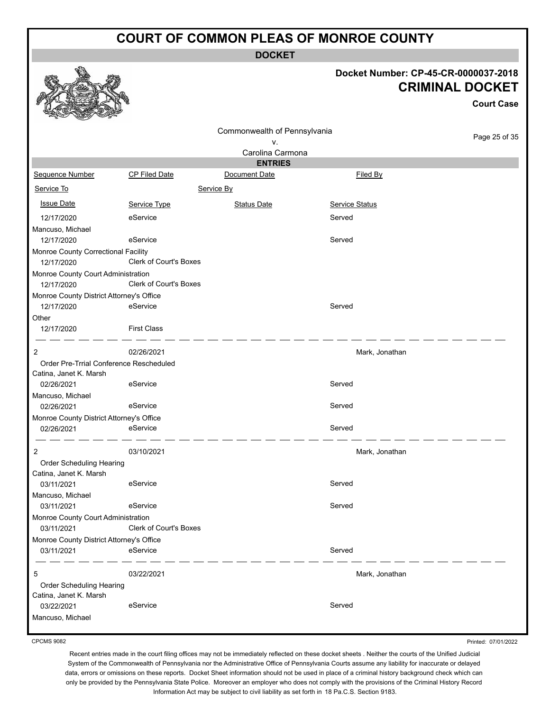**DOCKET**

#### **Docket Number: CP-45-CR-0000037-2018 CRIMINAL DOCKET**

**Court Case**

|                                          |                               | Commonwealth of Pennsylvania |                       |               |
|------------------------------------------|-------------------------------|------------------------------|-----------------------|---------------|
|                                          |                               | ٧.                           |                       | Page 25 of 35 |
|                                          |                               | Carolina Carmona             |                       |               |
|                                          |                               | <b>ENTRIES</b>               |                       |               |
| <b>Sequence Number</b>                   | CP Filed Date                 | Document Date                | Filed By              |               |
| Service To                               |                               | Service By                   |                       |               |
| <b>Issue Date</b>                        | Service Type                  | <b>Status Date</b>           | <b>Service Status</b> |               |
| 12/17/2020                               | eService                      |                              | Served                |               |
| Mancuso, Michael                         |                               |                              |                       |               |
| 12/17/2020                               | eService                      |                              | Served                |               |
| Monroe County Correctional Facility      |                               |                              |                       |               |
| 12/17/2020                               | <b>Clerk of Court's Boxes</b> |                              |                       |               |
| Monroe County Court Administration       |                               |                              |                       |               |
| 12/17/2020                               | Clerk of Court's Boxes        |                              |                       |               |
| Monroe County District Attorney's Office |                               |                              |                       |               |
| 12/17/2020                               | eService                      |                              | Served                |               |
| Other                                    |                               |                              |                       |               |
| 12/17/2020                               | <b>First Class</b>            |                              |                       |               |
|                                          |                               |                              |                       |               |
| 2                                        | 02/26/2021                    |                              | Mark, Jonathan        |               |
| Order Pre-Trrial Conference Rescheduled  |                               |                              |                       |               |
| Catina, Janet K. Marsh                   |                               |                              |                       |               |
| 02/26/2021                               | eService                      |                              | Served                |               |
| Mancuso, Michael                         |                               |                              |                       |               |
| 02/26/2021                               | eService                      |                              | Served                |               |
| Monroe County District Attorney's Office |                               |                              |                       |               |
| 02/26/2021                               | eService                      |                              | Served                |               |
| 2                                        | 03/10/2021                    |                              | Mark, Jonathan        |               |
| Order Scheduling Hearing                 |                               |                              |                       |               |
| Catina, Janet K. Marsh                   |                               |                              |                       |               |
| 03/11/2021                               | eService                      |                              | Served                |               |
| Mancuso, Michael                         |                               |                              |                       |               |
| 03/11/2021                               | eService                      |                              | Served                |               |
| Monroe County Court Administration       |                               |                              |                       |               |
| 03/11/2021                               | Clerk of Court's Boxes        |                              |                       |               |
| Monroe County District Attorney's Office |                               |                              |                       |               |
| 03/11/2021                               | eService                      |                              | Served                |               |
| 5                                        | 03/22/2021                    |                              | Mark, Jonathan        |               |
| Order Scheduling Hearing                 |                               |                              |                       |               |
| Catina, Janet K. Marsh                   |                               |                              |                       |               |
| 03/22/2021                               | eService                      |                              | Served                |               |
| Mancuso, Michael                         |                               |                              |                       |               |

CPCMS 9082

Printed: 07/01/2022

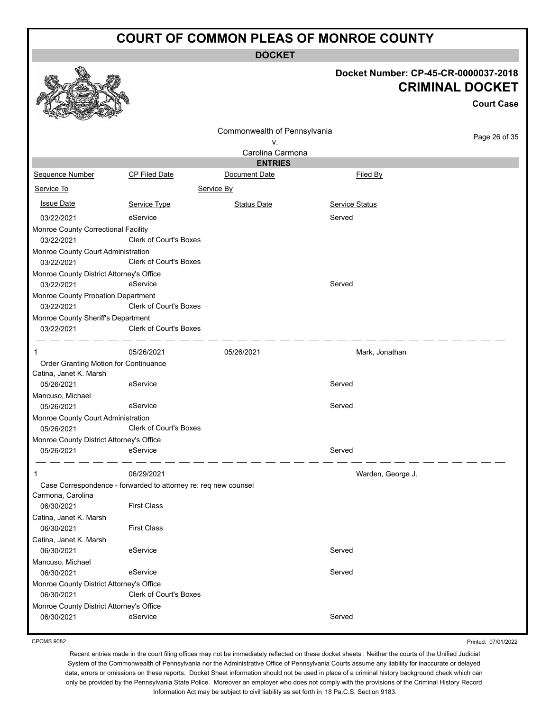**DOCKET**

#### **Docket Number: CP-45-CR-0000037-2018 CRIMINAL DOCKET**

|                                                        |                                                                 |                                    |                       | <b>Court Case</b> |
|--------------------------------------------------------|-----------------------------------------------------------------|------------------------------------|-----------------------|-------------------|
|                                                        |                                                                 | Commonwealth of Pennsylvania<br>v. |                       | Page 26 of 35     |
|                                                        |                                                                 | Carolina Carmona                   |                       |                   |
|                                                        |                                                                 | <b>ENTRIES</b>                     |                       |                   |
| Sequence Number                                        | <b>CP Filed Date</b>                                            | Document Date                      | Filed By              |                   |
| Service To                                             |                                                                 | Service By                         |                       |                   |
| <b>Issue Date</b>                                      | Service Type                                                    | <b>Status Date</b>                 | <b>Service Status</b> |                   |
| 03/22/2021                                             | eService                                                        |                                    | Served                |                   |
| Monroe County Correctional Facility                    |                                                                 |                                    |                       |                   |
| 03/22/2021                                             | <b>Clerk of Court's Boxes</b>                                   |                                    |                       |                   |
| Monroe County Court Administration                     |                                                                 |                                    |                       |                   |
| 03/22/2021                                             | <b>Clerk of Court's Boxes</b>                                   |                                    |                       |                   |
| Monroe County District Attorney's Office               |                                                                 |                                    |                       |                   |
| 03/22/2021                                             | eService                                                        |                                    | Served                |                   |
| Monroe County Probation Department                     | Clerk of Court's Boxes                                          |                                    |                       |                   |
| 03/22/2021                                             |                                                                 |                                    |                       |                   |
| Monroe County Sheriff's Department<br>03/22/2021       | <b>Clerk of Court's Boxes</b>                                   |                                    |                       |                   |
|                                                        |                                                                 |                                    |                       |                   |
| 1                                                      | 05/26/2021                                                      | 05/26/2021                         | Mark, Jonathan        |                   |
| Order Granting Motion for Continuance                  |                                                                 |                                    |                       |                   |
| Catina, Janet K. Marsh                                 |                                                                 |                                    |                       |                   |
| 05/26/2021                                             | eService                                                        |                                    | Served                |                   |
| Mancuso, Michael                                       |                                                                 |                                    |                       |                   |
| 05/26/2021                                             | eService                                                        |                                    | Served                |                   |
| Monroe County Court Administration                     |                                                                 |                                    |                       |                   |
| 05/26/2021                                             | <b>Clerk of Court's Boxes</b>                                   |                                    |                       |                   |
| Monroe County District Attorney's Office<br>05/26/2021 | eService                                                        |                                    | Served                |                   |
|                                                        |                                                                 |                                    |                       |                   |
| 1                                                      | 06/29/2021                                                      |                                    | Warden, George J.     |                   |
|                                                        | Case Correspondence - forwarded to attorney re: req new counsel |                                    |                       |                   |
| Carmona, Carolina                                      |                                                                 |                                    |                       |                   |
| 06/30/2021                                             | <b>First Class</b>                                              |                                    |                       |                   |
| Catina, Janet K. Marsh                                 |                                                                 |                                    |                       |                   |
| 06/30/2021                                             | <b>First Class</b>                                              |                                    |                       |                   |
| Catina, Janet K. Marsh                                 |                                                                 |                                    |                       |                   |
| 06/30/2021                                             | eService                                                        |                                    | Served                |                   |
| Mancuso, Michael                                       |                                                                 |                                    | Served                |                   |
| 06/30/2021<br>Monroe County District Attorney's Office | eService                                                        |                                    |                       |                   |
| 06/30/2021                                             | Clerk of Court's Boxes                                          |                                    |                       |                   |
| Monroe County District Attorney's Office               |                                                                 |                                    |                       |                   |
| 06/30/2021                                             | eService                                                        |                                    | Served                |                   |
|                                                        |                                                                 |                                    |                       |                   |

CPCMS 9082

Printed: 07/01/2022

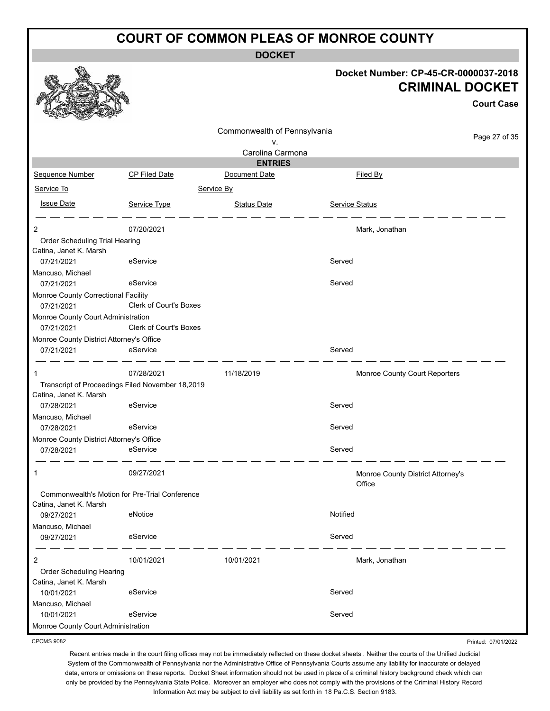**DOCKET**

|                                                        |                               | DUUNE I                         |                |                                                                |
|--------------------------------------------------------|-------------------------------|---------------------------------|----------------|----------------------------------------------------------------|
|                                                        |                               |                                 |                | Docket Number: CP-45-CR-0000037-2018<br><b>CRIMINAL DOCKET</b> |
|                                                        |                               |                                 |                | <b>Court Case</b>                                              |
|                                                        |                               |                                 |                |                                                                |
|                                                        |                               | Commonwealth of Pennsylvania    |                | Page 27 of 35                                                  |
|                                                        |                               | ۷.                              |                |                                                                |
|                                                        |                               | Carolina Carmona                |                |                                                                |
| Sequence Number                                        | <b>CP Filed Date</b>          | <b>ENTRIES</b><br>Document Date |                | Filed By                                                       |
|                                                        |                               |                                 |                |                                                                |
| Service To                                             |                               | Service By                      |                |                                                                |
| <b>Issue Date</b>                                      | Service Type                  | <b>Status Date</b>              | Service Status |                                                                |
|                                                        |                               |                                 |                |                                                                |
| 2<br>Order Scheduling Trial Hearing                    | 07/20/2021                    |                                 |                | Mark, Jonathan                                                 |
| Catina, Janet K. Marsh                                 |                               |                                 |                |                                                                |
| 07/21/2021                                             | eService                      |                                 | Served         |                                                                |
| Mancuso, Michael                                       |                               |                                 |                |                                                                |
| 07/21/2021                                             | eService                      |                                 | Served         |                                                                |
| Monroe County Correctional Facility                    |                               |                                 |                |                                                                |
| 07/21/2021                                             | <b>Clerk of Court's Boxes</b> |                                 |                |                                                                |
| Monroe County Court Administration                     |                               |                                 |                |                                                                |
| 07/21/2021                                             | Clerk of Court's Boxes        |                                 |                |                                                                |
| Monroe County District Attorney's Office               |                               |                                 |                |                                                                |
| 07/21/2021                                             | eService                      |                                 | Served         |                                                                |
| 1                                                      | 07/28/2021                    | 11/18/2019                      |                | Monroe County Court Reporters                                  |
| Transcript of Proceedings Filed November 18,2019       |                               |                                 |                |                                                                |
| Catina, Janet K. Marsh                                 |                               |                                 |                |                                                                |
| 07/28/2021                                             | eService                      |                                 | Served         |                                                                |
| Mancuso, Michael                                       |                               |                                 |                |                                                                |
| 07/28/2021                                             | eService                      |                                 | Served         |                                                                |
| Monroe County District Attorney's Office<br>07/28/2021 | eService                      |                                 | Served         |                                                                |
|                                                        |                               |                                 |                |                                                                |
| 1                                                      | 09/27/2021                    |                                 |                | Monroe County District Attorney's                              |
|                                                        |                               |                                 |                | Office                                                         |
| Commonwealth's Motion for Pre-Trial Conference         |                               |                                 |                |                                                                |
| Catina, Janet K. Marsh                                 |                               |                                 |                |                                                                |
| 09/27/2021                                             | eNotice                       |                                 | Notified       |                                                                |
| Mancuso, Michael                                       |                               |                                 |                |                                                                |
| 09/27/2021                                             | eService                      |                                 | Served         |                                                                |
| 2                                                      | 10/01/2021                    | 10/01/2021                      |                | Mark, Jonathan                                                 |
| Order Scheduling Hearing                               |                               |                                 |                |                                                                |
| Catina, Janet K. Marsh                                 |                               |                                 |                |                                                                |
| 10/01/2021                                             | eService                      |                                 | Served         |                                                                |
| Mancuso, Michael                                       |                               |                                 |                |                                                                |
| 10/01/2021                                             | eService                      |                                 | Served         |                                                                |
| Monroe County Court Administration                     |                               |                                 |                |                                                                |

CPCMS 9082

Recent entries made in the court filing offices may not be immediately reflected on these docket sheets . Neither the courts of the Unified Judicial System of the Commonwealth of Pennsylvania nor the Administrative Office of Pennsylvania Courts assume any liability for inaccurate or delayed data, errors or omissions on these reports. Docket Sheet information should not be used in place of a criminal history background check which can only be provided by the Pennsylvania State Police. Moreover an employer who does not comply with the provisions of the Criminal History Record Information Act may be subject to civil liability as set forth in 18 Pa.C.S. Section 9183.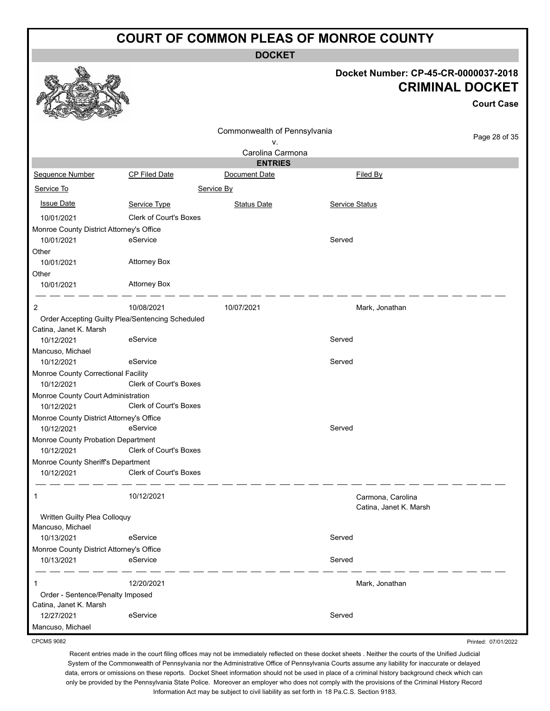**DOCKET**

#### **Docket Number: CP-45-CR-0000037-2018 CRIMINAL DOCKET**

Printed: 07/01/2022

|                                                        |                                                  |                              |                                             | <b>Court Case</b> |
|--------------------------------------------------------|--------------------------------------------------|------------------------------|---------------------------------------------|-------------------|
|                                                        |                                                  | Commonwealth of Pennsylvania |                                             |                   |
|                                                        |                                                  | ۷.                           |                                             | Page 28 of 35     |
|                                                        |                                                  | Carolina Carmona             |                                             |                   |
|                                                        |                                                  | <b>ENTRIES</b>               |                                             |                   |
| <b>Sequence Number</b>                                 | CP Filed Date                                    | Document Date                | Filed By                                    |                   |
| Service To                                             |                                                  | Service By                   |                                             |                   |
| <b>Issue Date</b>                                      | Service Type                                     | <b>Status Date</b>           | Service Status                              |                   |
| 10/01/2021                                             | <b>Clerk of Court's Boxes</b>                    |                              |                                             |                   |
| Monroe County District Attorney's Office               |                                                  |                              |                                             |                   |
| 10/01/2021                                             | eService                                         |                              | Served                                      |                   |
| Other                                                  |                                                  |                              |                                             |                   |
| 10/01/2021                                             | <b>Attorney Box</b>                              |                              |                                             |                   |
| Other                                                  |                                                  |                              |                                             |                   |
| 10/01/2021                                             | <b>Attorney Box</b>                              |                              |                                             |                   |
| 2                                                      | 10/08/2021                                       | 10/07/2021                   | Mark, Jonathan                              |                   |
|                                                        | Order Accepting Guilty Plea/Sentencing Scheduled |                              |                                             |                   |
| Catina, Janet K. Marsh                                 |                                                  |                              |                                             |                   |
| 10/12/2021                                             | eService                                         |                              | Served                                      |                   |
| Mancuso, Michael                                       |                                                  |                              |                                             |                   |
| 10/12/2021                                             | eService                                         |                              | Served                                      |                   |
| Monroe County Correctional Facility                    |                                                  |                              |                                             |                   |
| 10/12/2021                                             | Clerk of Court's Boxes                           |                              |                                             |                   |
| Monroe County Court Administration                     |                                                  |                              |                                             |                   |
| 10/12/2021                                             | Clerk of Court's Boxes                           |                              |                                             |                   |
| Monroe County District Attorney's Office<br>10/12/2021 | eService                                         |                              | Served                                      |                   |
| Monroe County Probation Department                     |                                                  |                              |                                             |                   |
| 10/12/2021                                             | Clerk of Court's Boxes                           |                              |                                             |                   |
| Monroe County Sheriff's Department                     |                                                  |                              |                                             |                   |
| 10/12/2021                                             | <b>Clerk of Court's Boxes</b>                    |                              |                                             |                   |
|                                                        | 10/12/2021                                       |                              | Carmona, Carolina<br>Catina, Janet K. Marsh |                   |
| Written Guilty Plea Colloquy                           |                                                  |                              |                                             |                   |
| Mancuso, Michael                                       |                                                  |                              |                                             |                   |
| 10/13/2021                                             | eService                                         |                              | Served                                      |                   |
| Monroe County District Attorney's Office               |                                                  |                              |                                             |                   |
| 10/13/2021                                             | eService                                         |                              | Served                                      |                   |
| 1                                                      | 12/20/2021                                       |                              | Mark, Jonathan                              |                   |
| Order - Sentence/Penalty Imposed                       |                                                  |                              |                                             |                   |
| Catina, Janet K. Marsh                                 |                                                  |                              |                                             |                   |
| 12/27/2021                                             | eService                                         |                              | Served                                      |                   |
| Mancuso, Michael                                       |                                                  |                              |                                             |                   |

CPCMS 9082

**稔.**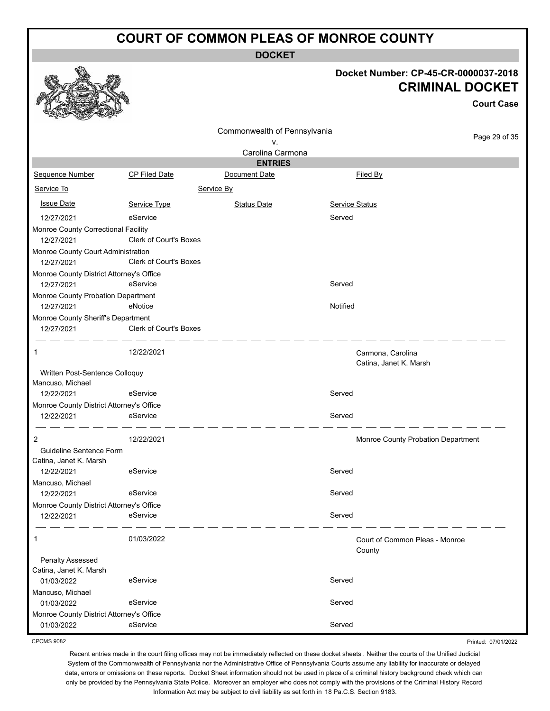**DOCKET**

#### **Docket Number: CP-45-CR-0000037-2018 CRIMINAL DOCKET**

**Court Case**

|                                                   |                        | Commonwealth of Pennsylvania |                |                                    |
|---------------------------------------------------|------------------------|------------------------------|----------------|------------------------------------|
|                                                   |                        | v.                           |                | Page 29 of 35                      |
|                                                   |                        | Carolina Carmona             |                |                                    |
|                                                   |                        | <b>ENTRIES</b>               |                |                                    |
| Sequence Number                                   | <b>CP Filed Date</b>   | Document Date                |                | Filed By                           |
| Service To                                        |                        | Service By                   |                |                                    |
| <b>Issue Date</b>                                 | Service Type           | <b>Status Date</b>           | Service Status |                                    |
| 12/27/2021                                        | eService               |                              | Served         |                                    |
| Monroe County Correctional Facility               |                        |                              |                |                                    |
| 12/27/2021                                        | Clerk of Court's Boxes |                              |                |                                    |
| Monroe County Court Administration                |                        |                              |                |                                    |
| 12/27/2021                                        | Clerk of Court's Boxes |                              |                |                                    |
| Monroe County District Attorney's Office          |                        |                              |                |                                    |
| 12/27/2021                                        | eService               |                              | Served         |                                    |
| Monroe County Probation Department                |                        |                              |                |                                    |
| 12/27/2021                                        | eNotice                |                              | Notified       |                                    |
| Monroe County Sheriff's Department                |                        |                              |                |                                    |
| 12/27/2021                                        | Clerk of Court's Boxes |                              |                |                                    |
|                                                   |                        |                              |                |                                    |
| 1                                                 | 12/22/2021             |                              |                | Carmona, Carolina                  |
|                                                   |                        |                              |                | Catina, Janet K. Marsh             |
| Written Post-Sentence Colloquy                    |                        |                              |                |                                    |
| Mancuso, Michael                                  |                        |                              |                |                                    |
| 12/22/2021                                        | eService               |                              | Served         |                                    |
| Monroe County District Attorney's Office          |                        |                              |                |                                    |
| 12/22/2021                                        | eService               |                              | Served         |                                    |
|                                                   |                        |                              |                |                                    |
| 2                                                 | 12/22/2021             |                              |                | Monroe County Probation Department |
| Guideline Sentence Form<br>Catina, Janet K. Marsh |                        |                              |                |                                    |
| 12/22/2021                                        | eService               |                              | Served         |                                    |
| Mancuso, Michael                                  |                        |                              |                |                                    |
| 12/22/2021                                        | eService               |                              | Served         |                                    |
| Monroe County District Attorney's Office          |                        |                              |                |                                    |
| 12/22/2021                                        | eService               |                              | Served         |                                    |
|                                                   |                        |                              |                |                                    |
| 1                                                 | 01/03/2022             |                              |                | Court of Common Pleas - Monroe     |
| Penalty Assessed                                  |                        |                              |                | County                             |
| Catina, Janet K. Marsh                            |                        |                              |                |                                    |
| 01/03/2022                                        | eService               |                              | Served         |                                    |
| Mancuso, Michael                                  |                        |                              |                |                                    |
| 01/03/2022                                        | eService               |                              | Served         |                                    |
| Monroe County District Attorney's Office          |                        |                              |                |                                    |
| 01/03/2022                                        | eService               |                              | Served         |                                    |
|                                                   |                        |                              |                |                                    |

CPCMS 9082

Recent entries made in the court filing offices may not be immediately reflected on these docket sheets . Neither the courts of the Unified Judicial System of the Commonwealth of Pennsylvania nor the Administrative Office of Pennsylvania Courts assume any liability for inaccurate or delayed data, errors or omissions on these reports. Docket Sheet information should not be used in place of a criminal history background check which can only be provided by the Pennsylvania State Police. Moreover an employer who does not comply with the provisions of the Criminal History Record Information Act may be subject to civil liability as set forth in 18 Pa.C.S. Section 9183.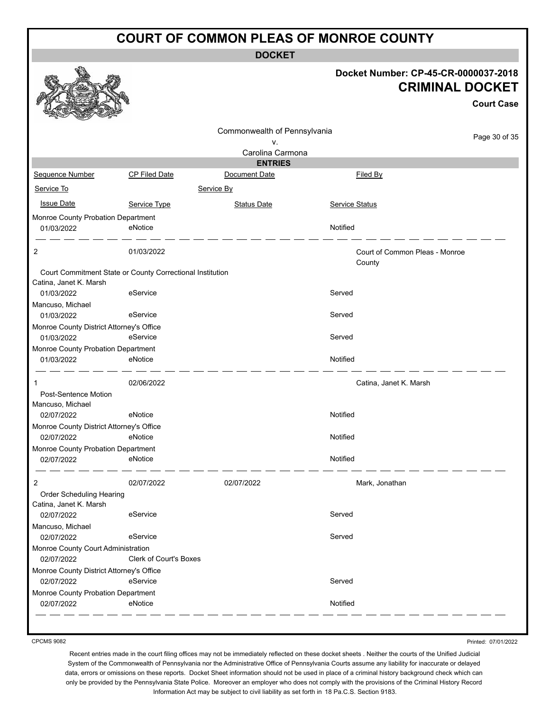**DOCKET**

|                                                  |                                                           | ו ∟טיש                       |                                      |                        |
|--------------------------------------------------|-----------------------------------------------------------|------------------------------|--------------------------------------|------------------------|
|                                                  |                                                           |                              | Docket Number: CP-45-CR-0000037-2018 | <b>CRIMINAL DOCKET</b> |
|                                                  |                                                           |                              |                                      | <b>Court Case</b>      |
|                                                  |                                                           |                              |                                      |                        |
|                                                  |                                                           | Commonwealth of Pennsylvania |                                      | Page 30 of 35          |
|                                                  |                                                           | v.<br>Carolina Carmona       |                                      |                        |
|                                                  |                                                           | <b>ENTRIES</b>               |                                      |                        |
| Sequence Number                                  | <b>CP Filed Date</b>                                      | Document Date                | Filed By                             |                        |
| Service To                                       |                                                           | Service By                   |                                      |                        |
|                                                  |                                                           |                              |                                      |                        |
| <b>Issue Date</b>                                | Service Type                                              | <b>Status Date</b>           | <b>Service Status</b>                |                        |
| Monroe County Probation Department               |                                                           |                              |                                      |                        |
| 01/03/2022                                       | eNotice                                                   |                              | Notified                             |                        |
| 2                                                | 01/03/2022                                                |                              | Court of Common Pleas - Monroe       |                        |
|                                                  |                                                           |                              | County                               |                        |
|                                                  | Court Commitment State or County Correctional Institution |                              |                                      |                        |
| Catina, Janet K. Marsh                           |                                                           |                              |                                      |                        |
| 01/03/2022                                       | eService                                                  |                              | Served                               |                        |
| Mancuso, Michael<br>01/03/2022                   | eService                                                  |                              | Served                               |                        |
| Monroe County District Attorney's Office         |                                                           |                              |                                      |                        |
| 01/03/2022                                       | eService                                                  |                              | Served                               |                        |
| Monroe County Probation Department               |                                                           |                              |                                      |                        |
| 01/03/2022                                       | eNotice                                                   |                              | Notified                             |                        |
| 1                                                | 02/06/2022                                                |                              | Catina, Janet K. Marsh               |                        |
| Post-Sentence Motion                             |                                                           |                              |                                      |                        |
| Mancuso, Michael                                 |                                                           |                              |                                      |                        |
| 02/07/2022                                       | eNotice                                                   |                              | Notified                             |                        |
| Monroe County District Attorney's Office         |                                                           |                              |                                      |                        |
| 02/07/2022                                       | eNotice                                                   |                              | Notified                             |                        |
| Monroe County Probation Department<br>02/07/2022 | <b>Example 19</b> Police                                  |                              | Notified                             |                        |
|                                                  |                                                           |                              |                                      |                        |
| 2                                                | 02/07/2022                                                | 02/07/2022                   | Mark, Jonathan                       |                        |
| Order Scheduling Hearing                         |                                                           |                              |                                      |                        |
| Catina, Janet K. Marsh                           |                                                           |                              |                                      |                        |
| 02/07/2022                                       | eService                                                  |                              | Served                               |                        |
| Mancuso, Michael                                 |                                                           |                              |                                      |                        |
| 02/07/2022                                       | eService                                                  |                              | Served                               |                        |
| Monroe County Court Administration               |                                                           |                              |                                      |                        |
| 02/07/2022                                       | <b>Clerk of Court's Boxes</b>                             |                              |                                      |                        |
| Monroe County District Attorney's Office         |                                                           |                              |                                      |                        |
| 02/07/2022                                       | eService                                                  |                              | Served                               |                        |
| Monroe County Probation Department<br>02/07/2022 | eNotice                                                   |                              | Notified                             |                        |
|                                                  |                                                           |                              |                                      |                        |

CPCMS 9082

Printed: 07/01/2022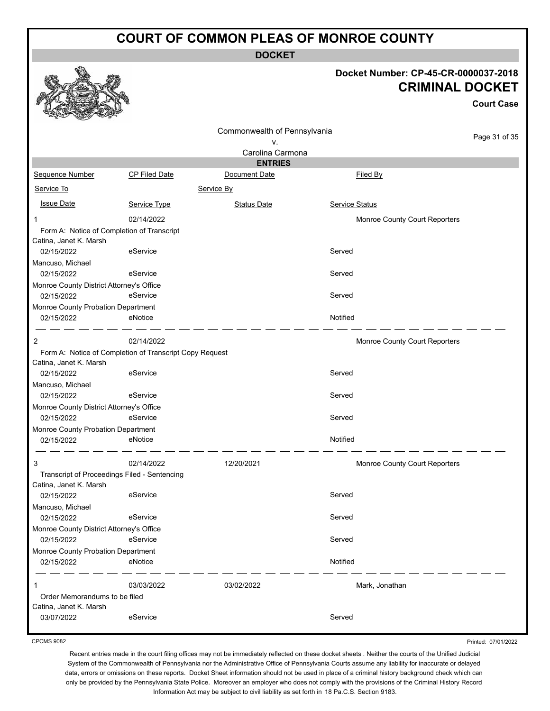**DOCKET**

#### **Docket Number: CP-45-CR-0000037-2018 CRIMINAL DOCKET**

**Court Case**

|                                                        |                                                         | Commonwealth of Pennsylvania |                                      |               |
|--------------------------------------------------------|---------------------------------------------------------|------------------------------|--------------------------------------|---------------|
|                                                        |                                                         | ٧.                           |                                      | Page 31 of 35 |
|                                                        |                                                         | Carolina Carmona             |                                      |               |
|                                                        |                                                         | <b>ENTRIES</b>               |                                      |               |
| Sequence Number                                        | <b>CP Filed Date</b>                                    | Document Date                | <b>Filed By</b>                      |               |
| Service To                                             |                                                         | Service By                   |                                      |               |
| <b>Issue Date</b>                                      | Service Type                                            | <b>Status Date</b>           | Service Status                       |               |
| -1                                                     | 02/14/2022                                              |                              | <b>Monroe County Court Reporters</b> |               |
| Form A: Notice of Completion of Transcript             |                                                         |                              |                                      |               |
| Catina, Janet K. Marsh                                 |                                                         |                              |                                      |               |
| 02/15/2022                                             | eService                                                |                              | Served                               |               |
| Mancuso, Michael                                       | eService                                                |                              | Served                               |               |
| 02/15/2022                                             |                                                         |                              |                                      |               |
| Monroe County District Attorney's Office<br>02/15/2022 | eService                                                |                              | Served                               |               |
| Monroe County Probation Department                     |                                                         |                              |                                      |               |
| 02/15/2022                                             | eNotice                                                 |                              | Notified                             |               |
| 2                                                      | 02/14/2022                                              |                              | Monroe County Court Reporters        |               |
|                                                        | Form A: Notice of Completion of Transcript Copy Request |                              |                                      |               |
| Catina, Janet K. Marsh                                 |                                                         |                              |                                      |               |
| 02/15/2022                                             | eService                                                |                              | Served                               |               |
| Mancuso, Michael                                       |                                                         |                              |                                      |               |
| 02/15/2022                                             | eService                                                |                              | Served                               |               |
| Monroe County District Attorney's Office               |                                                         |                              |                                      |               |
| 02/15/2022                                             | eService                                                |                              | Served                               |               |
| Monroe County Probation Department                     |                                                         |                              |                                      |               |
| 02/15/2022                                             | eNotice                                                 |                              | Notified                             |               |
| 3                                                      | 02/14/2022                                              | 12/20/2021                   | Monroe County Court Reporters        |               |
|                                                        | Transcript of Proceedings Filed - Sentencing            |                              |                                      |               |
| Catina, Janet K. Marsh                                 |                                                         |                              |                                      |               |
| 02/15/2022                                             | eService                                                |                              | Served                               |               |
| Mancuso, Michael                                       |                                                         |                              |                                      |               |
| 02/15/2022                                             | eService                                                |                              | Served                               |               |
| Monroe County District Attorney's Office               |                                                         |                              |                                      |               |
| 02/15/2022                                             | eService                                                |                              | Served                               |               |
| Monroe County Probation Department                     |                                                         |                              |                                      |               |
| 02/15/2022                                             | eNotice                                                 |                              | Notified                             |               |
| 1                                                      | 03/03/2022                                              | 03/02/2022                   | Mark, Jonathan                       |               |
| Order Memorandums to be filed                          |                                                         |                              |                                      |               |
| Catina, Janet K. Marsh                                 |                                                         |                              |                                      |               |
| 03/07/2022                                             | eService                                                |                              | Served                               |               |

CPCMS 9082

Printed: 07/01/2022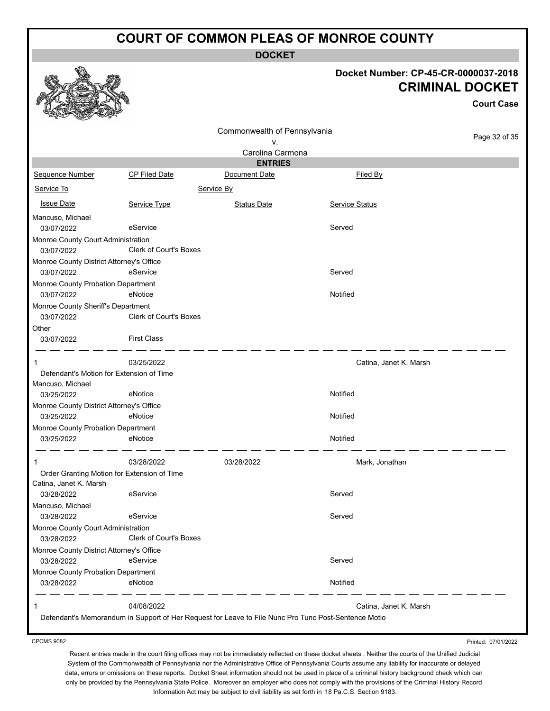**DOCKET**

#### **Docket Number: CP-45-CR-0000037-2018 CRIMINAL DOCKET**

**Court Case**

|                                             |                                                                                                      | Commonwealth of Pennsylvania |                        |               |
|---------------------------------------------|------------------------------------------------------------------------------------------------------|------------------------------|------------------------|---------------|
|                                             |                                                                                                      | ٧.                           |                        | Page 32 of 35 |
|                                             |                                                                                                      | Carolina Carmona             |                        |               |
|                                             |                                                                                                      | <b>ENTRIES</b>               |                        |               |
| Sequence Number                             | CP Filed Date                                                                                        | Document Date                | <b>Filed By</b>        |               |
| Service To                                  | Service By                                                                                           |                              |                        |               |
| <b>Issue Date</b>                           | Service Type                                                                                         | <b>Status Date</b>           | Service Status         |               |
| Mancuso, Michael                            |                                                                                                      |                              |                        |               |
| 03/07/2022                                  | eService                                                                                             |                              | Served                 |               |
| Monroe County Court Administration          |                                                                                                      |                              |                        |               |
| 03/07/2022                                  | Clerk of Court's Boxes                                                                               |                              |                        |               |
| Monroe County District Attorney's Office    |                                                                                                      |                              |                        |               |
| 03/07/2022                                  | eService                                                                                             |                              | Served                 |               |
| Monroe County Probation Department          |                                                                                                      |                              |                        |               |
| 03/07/2022                                  | eNotice                                                                                              |                              | Notified               |               |
| Monroe County Sheriff's Department          |                                                                                                      |                              |                        |               |
| 03/07/2022                                  | <b>Clerk of Court's Boxes</b>                                                                        |                              |                        |               |
| Other                                       |                                                                                                      |                              |                        |               |
| 03/07/2022                                  | <b>First Class</b>                                                                                   |                              |                        |               |
| 1                                           | 03/25/2022                                                                                           |                              | Catina, Janet K. Marsh |               |
| Defendant's Motion for Extension of Time    |                                                                                                      |                              |                        |               |
| Mancuso, Michael                            |                                                                                                      |                              |                        |               |
| 03/25/2022                                  | eNotice                                                                                              |                              | Notified               |               |
| Monroe County District Attorney's Office    |                                                                                                      |                              |                        |               |
| 03/25/2022                                  | eNotice                                                                                              |                              | Notified               |               |
| Monroe County Probation Department          |                                                                                                      |                              |                        |               |
| 03/25/2022                                  | eNotice                                                                                              |                              | Notified               |               |
| 1                                           | 03/28/2022                                                                                           | 03/28/2022                   | Mark, Jonathan         |               |
| Order Granting Motion for Extension of Time |                                                                                                      |                              |                        |               |
| Catina, Janet K. Marsh                      |                                                                                                      |                              |                        |               |
| 03/28/2022                                  | eService                                                                                             |                              | Served                 |               |
| Mancuso, Michael                            |                                                                                                      |                              |                        |               |
| 03/28/2022                                  | eService                                                                                             |                              | Served                 |               |
| Monroe County Court Administration          |                                                                                                      |                              |                        |               |
| 03/28/2022                                  | <b>Clerk of Court's Boxes</b>                                                                        |                              |                        |               |
| Monroe County District Attorney's Office    |                                                                                                      |                              |                        |               |
| 03/28/2022                                  | eService                                                                                             |                              | Served                 |               |
| Monroe County Probation Department          |                                                                                                      |                              |                        |               |
| 03/28/2022                                  | eNotice                                                                                              |                              | Notified               |               |
|                                             | 04/08/2022                                                                                           |                              | Catina, Janet K. Marsh |               |
|                                             | Defendant's Memorandum in Support of Her Request for Leave to File Nunc Pro Tunc Post-Sentence Motio |                              |                        |               |
|                                             |                                                                                                      |                              |                        |               |

CPCMS 9082

Printed: 07/01/2022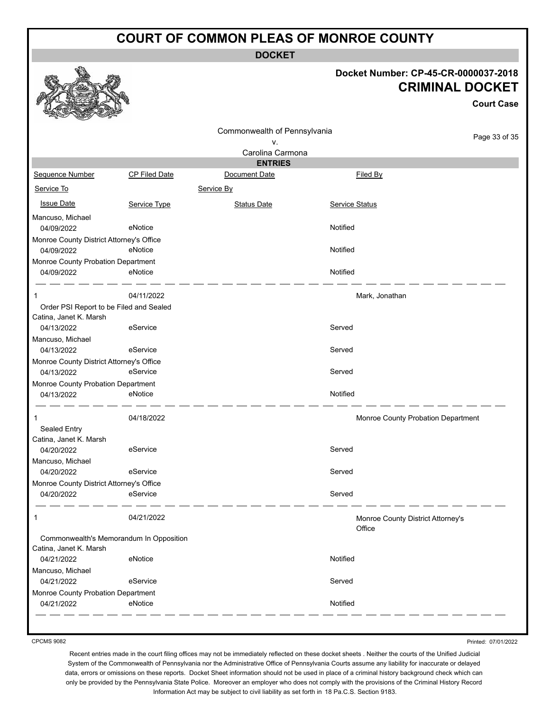**DOCKET**

#### **Docket Number: CP-45-CR-0000037-2018 CRIMINAL DOCKET**

|                                          |               |                              |                                             | <b>Court Case</b>                  |
|------------------------------------------|---------------|------------------------------|---------------------------------------------|------------------------------------|
|                                          |               | Commonwealth of Pennsylvania |                                             |                                    |
|                                          |               | v.                           |                                             | Page 33 of 35                      |
|                                          |               | Carolina Carmona             |                                             |                                    |
|                                          |               | <b>ENTRIES</b>               |                                             |                                    |
| Sequence Number                          | CP Filed Date | Document Date                | Filed By                                    |                                    |
| Service To                               |               | Service By                   |                                             |                                    |
| <b>Issue Date</b>                        | Service Type  | <b>Status Date</b>           | <b>Service Status</b>                       |                                    |
| Mancuso, Michael                         |               |                              |                                             |                                    |
| 04/09/2022                               | eNotice       |                              | Notified                                    |                                    |
| Monroe County District Attorney's Office |               |                              |                                             |                                    |
| 04/09/2022                               | eNotice       |                              | Notified                                    |                                    |
| Monroe County Probation Department       |               |                              |                                             |                                    |
| 04/09/2022                               | eNotice       |                              | Notified                                    |                                    |
| 1                                        | 04/11/2022    |                              | Mark, Jonathan                              |                                    |
| Order PSI Report to be Filed and Sealed  |               |                              |                                             |                                    |
| Catina, Janet K. Marsh                   |               |                              |                                             |                                    |
| 04/13/2022                               | eService      |                              | Served                                      |                                    |
| Mancuso, Michael                         |               |                              |                                             |                                    |
| 04/13/2022                               | eService      |                              | Served                                      |                                    |
| Monroe County District Attorney's Office |               |                              |                                             |                                    |
| 04/13/2022                               | eService      |                              | Served                                      |                                    |
| Monroe County Probation Department       |               |                              |                                             |                                    |
| 04/13/2022                               | eNotice       |                              | Notified                                    |                                    |
| 1                                        | 04/18/2022    |                              |                                             | Monroe County Probation Department |
| Sealed Entry                             |               |                              |                                             |                                    |
| Catina, Janet K. Marsh                   |               |                              |                                             |                                    |
| 04/20/2022                               | eService      |                              | Served                                      |                                    |
| Mancuso, Michael                         |               |                              |                                             |                                    |
| 04/20/2022                               | eService      |                              | Served                                      |                                    |
| Monroe County District Attorney's Office |               |                              |                                             |                                    |
| 04/20/2022                               | eService      |                              | Served                                      |                                    |
| 1                                        | 04/21/2022    |                              | Monroe County District Attorney's<br>Office |                                    |
| Commonwealth's Memorandum In Opposition  |               |                              |                                             |                                    |
| Catina, Janet K. Marsh                   |               |                              |                                             |                                    |
| 04/21/2022                               | eNotice       |                              | Notified                                    |                                    |
| Mancuso, Michael                         |               |                              |                                             |                                    |
| 04/21/2022                               | eService      |                              | Served                                      |                                    |
| Monroe County Probation Department       |               |                              |                                             |                                    |
| 04/21/2022                               | eNotice       |                              | Notified                                    |                                    |

CPCMS 9082

Printed: 07/01/2022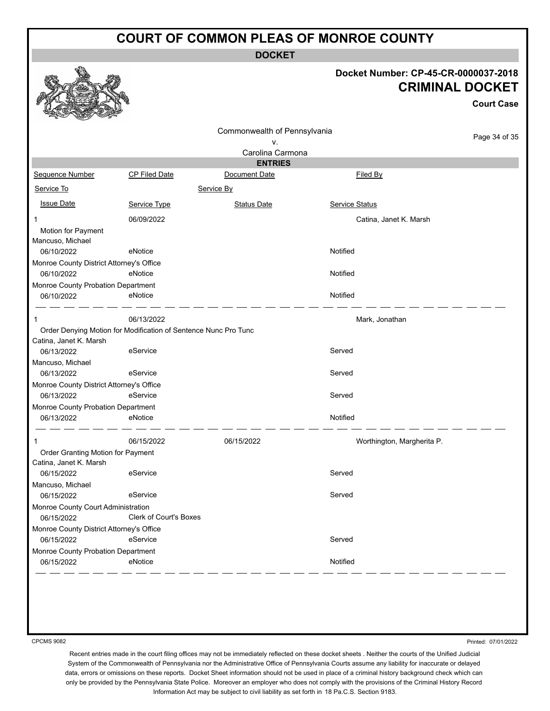**DOCKET**

#### **Docket Number: CP-45-CR-0000037-2018 CRIMINAL DOCKET**

**Court Case**

|                                                             |                                                                 | Commonwealth of Pennsylvania    |                            | Page 34 of 35 |  |
|-------------------------------------------------------------|-----------------------------------------------------------------|---------------------------------|----------------------------|---------------|--|
|                                                             |                                                                 | ۷.                              |                            |               |  |
|                                                             |                                                                 | Carolina Carmona                |                            |               |  |
| Sequence Number                                             | <b>CP Filed Date</b>                                            | <b>ENTRIES</b><br>Document Date | Filed By                   |               |  |
|                                                             |                                                                 |                                 |                            |               |  |
| Service To                                                  |                                                                 | Service By                      |                            |               |  |
| <b>Issue Date</b>                                           | Service Type                                                    | <b>Status Date</b>              | <b>Service Status</b>      |               |  |
|                                                             | 06/09/2022                                                      |                                 | Catina, Janet K. Marsh     |               |  |
| Motion for Payment                                          |                                                                 |                                 |                            |               |  |
| Mancuso, Michael                                            |                                                                 |                                 |                            |               |  |
| 06/10/2022                                                  | eNotice                                                         |                                 | Notified                   |               |  |
| Monroe County District Attorney's Office                    |                                                                 |                                 |                            |               |  |
| 06/10/2022                                                  | eNotice                                                         |                                 | Notified                   |               |  |
| Monroe County Probation Department                          |                                                                 |                                 |                            |               |  |
| 06/10/2022                                                  | eNotice                                                         |                                 | Notified                   |               |  |
| 1                                                           | 06/13/2022                                                      |                                 | Mark, Jonathan             |               |  |
|                                                             | Order Denying Motion for Modification of Sentence Nunc Pro Tunc |                                 |                            |               |  |
| Catina, Janet K. Marsh                                      |                                                                 |                                 |                            |               |  |
| 06/13/2022                                                  | eService                                                        |                                 | Served                     |               |  |
| Mancuso, Michael                                            |                                                                 |                                 |                            |               |  |
| 06/13/2022                                                  | eService                                                        |                                 | Served                     |               |  |
| Monroe County District Attorney's Office                    |                                                                 |                                 |                            |               |  |
| 06/13/2022                                                  | eService                                                        |                                 | Served                     |               |  |
| Monroe County Probation Department                          |                                                                 |                                 |                            |               |  |
| 06/13/2022                                                  | eNotice                                                         |                                 | Notified                   |               |  |
| 1                                                           | 06/15/2022                                                      | 06/15/2022                      | Worthington, Margherita P. |               |  |
| Order Granting Motion for Payment<br>Catina, Janet K. Marsh |                                                                 |                                 |                            |               |  |
| 06/15/2022                                                  | eService                                                        |                                 | Served                     |               |  |
| Mancuso, Michael                                            |                                                                 |                                 |                            |               |  |
| 06/15/2022                                                  | eService                                                        |                                 | Served                     |               |  |
| Monroe County Court Administration                          |                                                                 |                                 |                            |               |  |
| 06/15/2022                                                  | Clerk of Court's Boxes                                          |                                 |                            |               |  |
| Monroe County District Attorney's Office                    |                                                                 |                                 |                            |               |  |
| 06/15/2022                                                  | eService                                                        |                                 | Served                     |               |  |
| Monroe County Probation Department                          |                                                                 |                                 |                            |               |  |
| 06/15/2022                                                  | eNotice                                                         |                                 | Notified                   |               |  |

CPCMS 9082

Printed: 07/01/2022